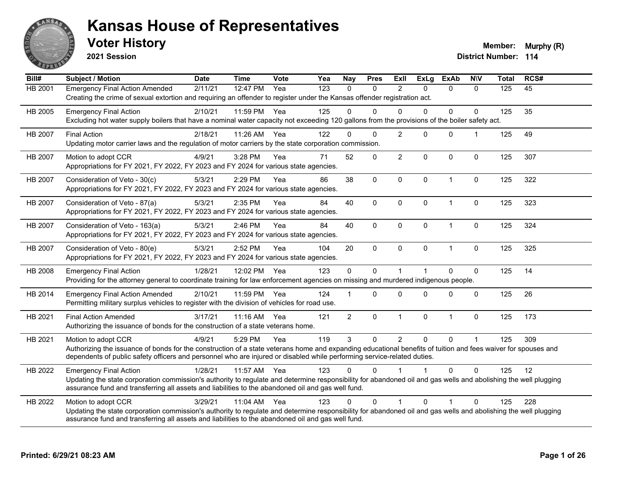

**2021 Session**

**Voter History Multiple 10 and 10 and 10 and 10 and 10 and 10 and 10 and 10 and 10 and 10 and 10 and 10 and 10 and 10 and 10 and 10 and 10 and 10 and 10 and 10 and 10 and 10 and 10 and 10 and 10 and 10 and 10 and 10 and** 

| Bill#          | <b>Subject / Motion</b>                                                                                                                                                                                                                                                                                         | <b>Date</b> | <b>Time</b> | Vote | Yea | Nay            | <b>Pres</b>  | ExII           | ExLg         | <b>ExAb</b>    | <b>NIV</b>   | <b>Total</b> | RCS# |
|----------------|-----------------------------------------------------------------------------------------------------------------------------------------------------------------------------------------------------------------------------------------------------------------------------------------------------------------|-------------|-------------|------|-----|----------------|--------------|----------------|--------------|----------------|--------------|--------------|------|
| <b>HB 2001</b> | <b>Emergency Final Action Amended</b><br>Creating the crime of sexual extortion and requiring an offender to register under the Kansas offender registration act.                                                                                                                                               | 2/11/21     | 12:47 PM    | Yea  | 123 | $\Omega$       | $\Omega$     | 2              | $\Omega$     | $\Omega$       | $\Omega$     | 125          | 45   |
| HB 2005        | <b>Emergency Final Action</b><br>Excluding hot water supply boilers that have a nominal water capacity not exceeding 120 gallons from the provisions of the boiler safety act.                                                                                                                                  | 2/10/21     | 11:59 PM    | Yea  | 125 | U              | 0            | $\Omega$       | $\Omega$     | $\Omega$       | $\mathbf{0}$ | 125          | 35   |
| HB 2007        | <b>Final Action</b><br>Updating motor carrier laws and the regulation of motor carriers by the state corporation commission.                                                                                                                                                                                    | 2/18/21     | 11:26 AM    | Yea  | 122 | 0              | $\Omega$     | $\overline{2}$ | $\Omega$     | $\mathbf 0$    | $\mathbf{1}$ | 125          | 49   |
| HB 2007        | Motion to adopt CCR<br>Appropriations for FY 2021, FY 2022, FY 2023 and FY 2024 for various state agencies.                                                                                                                                                                                                     | 4/9/21      | 3:28 PM     | Yea  | 71  | 52             | $\mathbf 0$  | $\overline{2}$ | $\Omega$     | $\mathbf 0$    | $\mathbf 0$  | 125          | 307  |
| HB 2007        | Consideration of Veto - 30(c)<br>Appropriations for FY 2021, FY 2022, FY 2023 and FY 2024 for various state agencies.                                                                                                                                                                                           | 5/3/21      | 2:29 PM     | Yea  | 86  | 38             | $\mathbf 0$  | $\pmb{0}$      | 0            | $\overline{1}$ | $\mathbf 0$  | 125          | 322  |
| HB 2007        | Consideration of Veto - 87(a)<br>Appropriations for FY 2021, FY 2022, FY 2023 and FY 2024 for various state agencies.                                                                                                                                                                                           | 5/3/21      | 2:35 PM     | Yea  | 84  | 40             | 0            | $\mathbf{0}$   | $\Omega$     | $\overline{1}$ | $\mathbf 0$  | 125          | 323  |
| HB 2007        | Consideration of Veto - 163(a)<br>Appropriations for FY 2021, FY 2022, FY 2023 and FY 2024 for various state agencies.                                                                                                                                                                                          | 5/3/21      | 2:46 PM     | Yea  | 84  | 40             | $\mathbf 0$  | $\mathbf 0$    | 0            | $\mathbf{1}$   | $\mathbf 0$  | 125          | 324  |
| HB 2007        | Consideration of Veto - 80(e)<br>Appropriations for FY 2021, FY 2022, FY 2023 and FY 2024 for various state agencies.                                                                                                                                                                                           | 5/3/21      | 2:52 PM     | Yea  | 104 | 20             | $\mathbf{0}$ | $\Omega$       | $\mathbf{0}$ | $\overline{1}$ | $\mathbf{0}$ | 125          | 325  |
| HB 2008        | <b>Emergency Final Action</b><br>Providing for the attorney general to coordinate training for law enforcement agencies on missing and murdered indigenous people.                                                                                                                                              | 1/28/21     | 12:02 PM    | Yea  | 123 | 0              | $\Omega$     | 1              |              | $\Omega$       | $\mathbf 0$  | 125          | 14   |
| HB 2014        | <b>Emergency Final Action Amended</b><br>Permitting military surplus vehicles to register with the division of vehicles for road use.                                                                                                                                                                           | 2/10/21     | 11:59 PM    | Yea  | 124 |                | $\Omega$     | $\Omega$       | $\Omega$     | $\Omega$       | $\Omega$     | 125          | 26   |
| HB 2021        | <b>Final Action Amended</b><br>Authorizing the issuance of bonds for the construction of a state veterans home.                                                                                                                                                                                                 | 3/17/21     | $11:16$ AM  | Yea  | 121 | $\overline{2}$ | $\mathbf 0$  | $\mathbf{1}$   | 0            | $\mathbf{1}$   | $\mathbf 0$  | 125          | 173  |
| HB 2021        | Motion to adopt CCR<br>Authorizing the issuance of bonds for the construction of a state veterans home and expanding educational benefits of tuition and fees waiver for spouses and<br>dependents of public safety officers and personnel who are injured or disabled while performing service-related duties. | 4/9/21      | 5:29 PM     | Yea  | 119 | 3              | $\Omega$     | $\overline{2}$ | $\mathbf{0}$ | $\mathbf{0}$   | 1            | 125          | 309  |
| HB 2022        | <b>Emergency Final Action</b><br>Updating the state corporation commission's authority to regulate and determine responsibility for abandoned oil and gas wells and abolishing the well plugging<br>assurance fund and transferring all assets and liabilities to the abandoned oil and gas well fund.          | 1/28/21     | 11:57 AM    | Yea  | 123 | U.             | <sup>n</sup> |                |              | $\Omega$       | $\mathbf{0}$ | 125          | 12   |
| HB 2022        | Motion to adopt CCR<br>Updating the state corporation commission's authority to regulate and determine responsibility for abandoned oil and gas wells and abolishing the well plugging<br>assurance fund and transferring all assets and liabilities to the abandoned oil and gas well fund.                    | 3/29/21     | 11:04 AM    | Yea  | 123 | $\Omega$       | 0            | $\mathbf 1$    | $\Omega$     | 1              | $\mathbf{0}$ | 125          | 228  |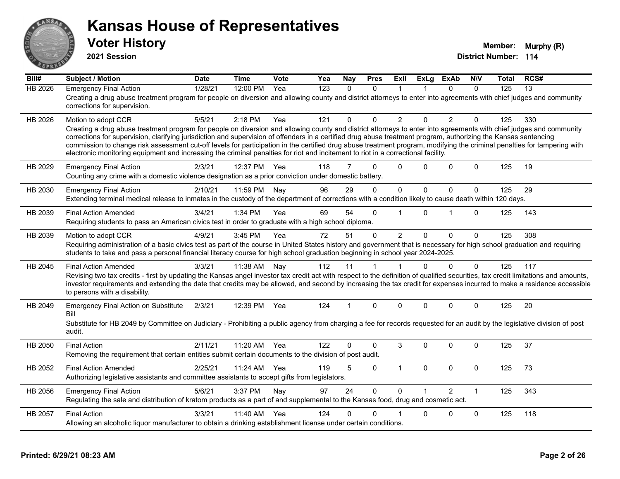

**2021 Session**

| Bill#          | <b>Subject / Motion</b>                                                                                                                                                                                                                                                                                                                                                                                                                                                                                                                                                                                                                                                         | <b>Date</b> | <b>Time</b> | Vote | Yea              | Nay      | <b>Pres</b>  | ExII           | <b>ExLg</b> | <b>ExAb</b>    | <b>NIV</b>   | <b>Total</b> | RCS# |
|----------------|---------------------------------------------------------------------------------------------------------------------------------------------------------------------------------------------------------------------------------------------------------------------------------------------------------------------------------------------------------------------------------------------------------------------------------------------------------------------------------------------------------------------------------------------------------------------------------------------------------------------------------------------------------------------------------|-------------|-------------|------|------------------|----------|--------------|----------------|-------------|----------------|--------------|--------------|------|
| <b>HB 2026</b> | <b>Emergency Final Action</b><br>Creating a drug abuse treatment program for people on diversion and allowing county and district attorneys to enter into agreements with chief judges and community<br>corrections for supervision.                                                                                                                                                                                                                                                                                                                                                                                                                                            | 1/28/21     | 12:00 PM    | Yea  | $\overline{123}$ | $\Omega$ | $\Omega$     | 1              |             | $\Omega$       | $\Omega$     | 125          | 13   |
| HB 2026        | Motion to adopt CCR<br>Creating a drug abuse treatment program for people on diversion and allowing county and district attorneys to enter into agreements with chief judges and community<br>corrections for supervision, clarifying jurisdiction and supervision of offenders in a certified drug abuse treatment program, authorizing the Kansas sentencing<br>commission to change risk assessment cut-off levels for participation in the certified drug abuse treatment program, modifying the criminal penalties for tampering with<br>electronic monitoring equipment and increasing the criminal penalties for riot and incitement to riot in a correctional facility. | 5/5/21      | 2:18 PM     | Yea  | 121              | $\Omega$ | $\Omega$     | $\overline{2}$ | $\Omega$    | $\overline{2}$ | $\Omega$     | 125          | 330  |
| HB 2029        | <b>Emergency Final Action</b><br>Counting any crime with a domestic violence designation as a prior conviction under domestic battery.                                                                                                                                                                                                                                                                                                                                                                                                                                                                                                                                          | 2/3/21      | 12:37 PM    | Yea  | 118              | 7        | $\Omega$     | $\Omega$       | $\Omega$    | $\mathbf 0$    | $\mathbf{0}$ | 125          | 19   |
| HB 2030        | <b>Emergency Final Action</b><br>Extending terminal medical release to inmates in the custody of the department of corrections with a condition likely to cause death within 120 days.                                                                                                                                                                                                                                                                                                                                                                                                                                                                                          | 2/10/21     | 11:59 PM    | Nay  | 96               | 29       | $\Omega$     | $\pmb{0}$      | $\Omega$    | $\mathbf{0}$   | 0            | 125          | 29   |
| HB 2039        | <b>Final Action Amended</b><br>Requiring students to pass an American civics test in order to graduate with a high school diploma.                                                                                                                                                                                                                                                                                                                                                                                                                                                                                                                                              | 3/4/21      | 1:34 PM     | Yea  | 69               | 54       | $\Omega$     | 1              | 0           | 1              | $\Omega$     | 125          | 143  |
| HB 2039        | Motion to adopt CCR<br>Requiring administration of a basic civics test as part of the course in United States history and government that is necessary for high school graduation and requiring<br>students to take and pass a personal financial literacy course for high school graduation beginning in school year 2024-2025.                                                                                                                                                                                                                                                                                                                                                | 4/9/21      | 3:45 PM     | Yea  | 72               | 51       | $\mathbf{0}$ | $\overline{2}$ | $\Omega$    | $\Omega$       | $\Omega$     | 125          | 308  |
| HB 2045        | <b>Final Action Amended</b><br>Revising two tax credits - first by updating the Kansas angel investor tax credit act with respect to the definition of qualified securities, tax credit limitations and amounts,<br>investor requirements and extending the date that credits may be allowed, and second by increasing the tax credit for expenses incurred to make a residence accessible<br>to persons with a disability.                                                                                                                                                                                                                                                     | 3/3/21      | 11:38 AM    | Nav  | 112              | 11       | 1            | $\mathbf 1$    | $\Omega$    | $\mathbf{0}$   | $\mathbf{0}$ | 125          | 117  |
| HB 2049        | <b>Emergency Final Action on Substitute</b><br>Bill<br>Substitute for HB 2049 by Committee on Judiciary - Prohibiting a public agency from charging a fee for records requested for an audit by the legislative division of post<br>audit.                                                                                                                                                                                                                                                                                                                                                                                                                                      | 2/3/21      | 12:39 PM    | Yea  | 124              | 1        | $\mathbf{0}$ | $\Omega$       | $\Omega$    | $\Omega$       | $\Omega$     | 125          | 20   |
| HB 2050        | <b>Final Action</b><br>Removing the requirement that certain entities submit certain documents to the division of post audit.                                                                                                                                                                                                                                                                                                                                                                                                                                                                                                                                                   | 2/11/21     | 11:20 AM    | Yea  | 122              | 0        | $\Omega$     | 3              | $\Omega$    | $\Omega$       | $\Omega$     | 125          | 37   |
| HB 2052        | <b>Final Action Amended</b><br>Authorizing legislative assistants and committee assistants to accept gifts from legislators.                                                                                                                                                                                                                                                                                                                                                                                                                                                                                                                                                    | 2/25/21     | 11:24 AM    | Yea  | 119              | 5        | $\mathbf{0}$ | $\overline{1}$ | $\Omega$    | $\Omega$       | $\mathbf 0$  | 125          | 73   |
| HB 2056        | <b>Emergency Final Action</b><br>Regulating the sale and distribution of kratom products as a part of and supplemental to the Kansas food, drug and cosmetic act.                                                                                                                                                                                                                                                                                                                                                                                                                                                                                                               | 5/6/21      | 3:37 PM     | Nay  | 97               | 24       | $\mathbf 0$  | $\Omega$       |             | $\overline{2}$ | $\mathbf{1}$ | 125          | 343  |
| HB 2057        | <b>Final Action</b><br>Allowing an alcoholic liquor manufacturer to obtain a drinking establishment license under certain conditions.                                                                                                                                                                                                                                                                                                                                                                                                                                                                                                                                           | 3/3/21      | 11:40 AM    | Yea  | 124              | 0        | $\Omega$     |                | 0           | 0              | $\mathbf 0$  | 125          | 118  |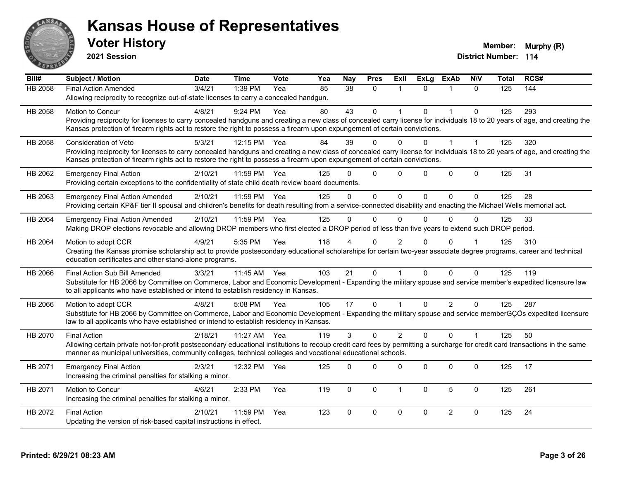

**2021 Session**

| Bill#   | <b>Subject / Motion</b>                                                                                                                                                      | <b>Date</b> | <b>Time</b> | Vote | Yea | <b>Nay</b>  | <b>Pres</b>  | Exll        | <b>ExLg</b> | <b>ExAb</b>    | <b>NIV</b>   | <b>Total</b> | RCS# |
|---------|------------------------------------------------------------------------------------------------------------------------------------------------------------------------------|-------------|-------------|------|-----|-------------|--------------|-------------|-------------|----------------|--------------|--------------|------|
| HB 2058 | <b>Final Action Amended</b>                                                                                                                                                  | 3/4/21      | 1:39 PM     | Yea  | 85  | 38          | $\mathbf{0}$ | -1          | $\Omega$    |                | $\Omega$     | 125          | 144  |
|         | Allowing reciprocity to recognize out-of-state licenses to carry a concealed handgun.                                                                                        |             |             |      |     |             |              |             |             |                |              |              |      |
| HB 2058 | <b>Motion to Concur</b>                                                                                                                                                      | 4/8/21      | $9:24$ PM   | Yea  | 80  | 43          | $\Omega$     |             | $\Omega$    | $\mathbf 1$    | $\Omega$     | 125          | 293  |
|         | Providing reciprocity for licenses to carry concealed handguns and creating a new class of concealed carry license for individuals 18 to 20 years of age, and creating the   |             |             |      |     |             |              |             |             |                |              |              |      |
|         | Kansas protection of firearm rights act to restore the right to possess a firearm upon expungement of certain convictions.                                                   |             |             |      |     |             |              |             |             |                |              |              |      |
| HB 2058 | Consideration of Veto                                                                                                                                                        | 5/3/21      | 12:15 PM    | Yea  | 84  | 39          | $\Omega$     | 0           | 0           |                |              | 125          | 320  |
|         | Providing reciprocity for licenses to carry concealed handguns and creating a new class of concealed carry license for individuals 18 to 20 years of age, and creating the   |             |             |      |     |             |              |             |             |                |              |              |      |
|         | Kansas protection of firearm rights act to restore the right to possess a firearm upon expungement of certain convictions.                                                   |             |             |      |     |             |              |             |             |                |              |              |      |
| HB 2062 | <b>Emergency Final Action</b>                                                                                                                                                | 2/10/21     | 11:59 PM    | Yea  | 125 | n           | $\mathbf{0}$ | $\Omega$    | $\Omega$    | $\Omega$       | $\mathbf 0$  | 125          | 31   |
|         | Providing certain exceptions to the confidentiality of state child death review board documents.                                                                             |             |             |      |     |             |              |             |             |                |              |              |      |
| HB 2063 | <b>Emergency Final Action Amended</b>                                                                                                                                        | 2/10/21     | 11:59 PM    | Yea  | 125 | $\Omega$    | $\mathbf{0}$ | $\Omega$    | 0           | $\Omega$       | $\Omega$     | 125          | 28   |
|         | Providing certain KP&F tier II spousal and children's benefits for death resulting from a service-connected disability and enacting the Michael Wells memorial act.          |             |             |      |     |             |              |             |             |                |              |              |      |
| HB 2064 | <b>Emergency Final Action Amended</b>                                                                                                                                        | 2/10/21     | 11:59 PM    | Yea  | 125 | $\Omega$    | $\mathbf 0$  | $\Omega$    | 0           | $\Omega$       | $\Omega$     | 125          | 33   |
|         | Making DROP elections revocable and allowing DROP members who first elected a DROP period of less than five years to extend such DROP period.                                |             |             |      |     |             |              |             |             |                |              |              |      |
| HB 2064 | Motion to adopt CCR                                                                                                                                                          | 4/9/21      | 5:35 PM     | Yea  | 118 |             | $\Omega$     | 2           | U           | $\Omega$       |              | 125          | 310  |
|         | Creating the Kansas promise scholarship act to provide postsecondary educational scholarships for certain two-year associate degree programs, career and technical           |             |             |      |     |             |              |             |             |                |              |              |      |
|         | education certificates and other stand-alone programs.                                                                                                                       |             |             |      |     |             |              |             |             |                |              |              |      |
| HB 2066 | Final Action Sub Bill Amended                                                                                                                                                | 3/3/21      | 11:45 AM    | Yea  | 103 | 21          | $\mathbf 0$  |             | $\Omega$    | $\Omega$       | $\Omega$     | 125          | 119  |
|         | Substitute for HB 2066 by Committee on Commerce, Labor and Economic Development - Expanding the military spouse and service member's expedited licensure law                 |             |             |      |     |             |              |             |             |                |              |              |      |
|         | to all applicants who have established or intend to establish residency in Kansas.                                                                                           |             |             |      |     |             |              |             |             |                |              |              |      |
| HB 2066 | Motion to adopt CCR                                                                                                                                                          | 4/8/21      | 5:08 PM     | Yea  | 105 | 17          | $\mathbf 0$  |             | 0           | $\overline{2}$ | $\Omega$     | 125          | 287  |
|         | Substitute for HB 2066 by Committee on Commerce, Labor and Economic Development - Expanding the military spouse and service memberGÇÖs expedited licensure                   |             |             |      |     |             |              |             |             |                |              |              |      |
|         | law to all applicants who have established or intend to establish residency in Kansas.                                                                                       |             |             |      |     |             |              |             |             |                |              |              |      |
| HB 2070 | <b>Final Action</b>                                                                                                                                                          | 2/18/21     | 11:27 AM    | Yea  | 119 | 3           | $\Omega$     | 2           | $\Omega$    | $\Omega$       | $\mathbf{1}$ | 125          | 50   |
|         | Allowing certain private not-for-profit postsecondary educational institutions to recoup credit card fees by permitting a surcharge for credit card transactions in the same |             |             |      |     |             |              |             |             |                |              |              |      |
|         | manner as municipal universities, community colleges, technical colleges and vocational educational schools.                                                                 |             |             |      |     |             |              |             |             |                |              |              |      |
| HB 2071 | <b>Emergency Final Action</b>                                                                                                                                                | 2/3/21      | 12:32 PM    | Yea  | 125 | 0           | 0            | 0           | 0           | 0              | $\mathbf 0$  | 125          | 17   |
|         | Increasing the criminal penalties for stalking a minor.                                                                                                                      |             |             |      |     |             |              |             |             |                |              |              |      |
| HB 2071 | Motion to Concur                                                                                                                                                             | 4/6/21      | 2:33 PM     | Yea  | 119 | $\mathbf 0$ | $\mathbf 0$  | 1           | $\Omega$    | 5              | $\mathbf 0$  | 125          | 261  |
|         | Increasing the criminal penalties for stalking a minor.                                                                                                                      |             |             |      |     |             |              |             |             |                |              |              |      |
| HB 2072 | <b>Final Action</b>                                                                                                                                                          | 2/10/21     | 11:59 PM    | Yea  | 123 | 0           | $\mathbf 0$  | $\mathbf 0$ | 0           | $\overline{2}$ | $\mathbf 0$  | 125          | 24   |
|         | Updating the version of risk-based capital instructions in effect.                                                                                                           |             |             |      |     |             |              |             |             |                |              |              |      |
|         |                                                                                                                                                                              |             |             |      |     |             |              |             |             |                |              |              |      |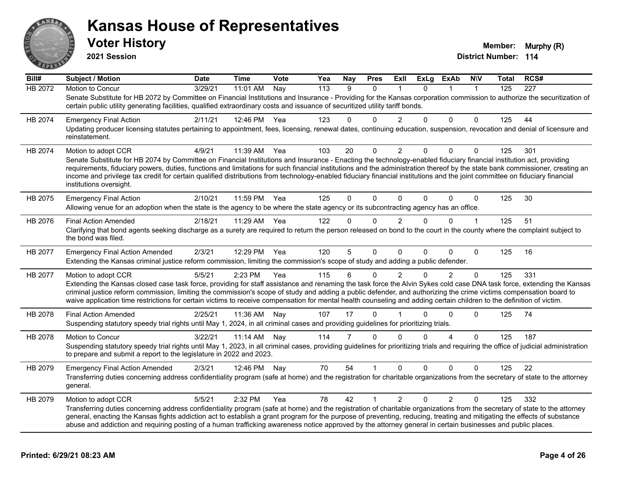

| $\overline{BiII#}$ | <b>Subject / Motion</b>                                                                                                                                                                                                                                                                                                                                                                                                                                                                                                                                       | <b>Date</b> | <b>Time</b>  | Vote              | Yea              | <b>Nay</b> | <b>Pres</b>  | Exll           | <b>ExLg</b> | <b>ExAb</b>    | <b>NIV</b>   | Total | RCS# |
|--------------------|---------------------------------------------------------------------------------------------------------------------------------------------------------------------------------------------------------------------------------------------------------------------------------------------------------------------------------------------------------------------------------------------------------------------------------------------------------------------------------------------------------------------------------------------------------------|-------------|--------------|-------------------|------------------|------------|--------------|----------------|-------------|----------------|--------------|-------|------|
| <b>HB 2072</b>     | Motion to Concur                                                                                                                                                                                                                                                                                                                                                                                                                                                                                                                                              | 3/29/21     | 11:01 AM     | $\overline{N}$ ay | $\overline{113}$ | 9          | $\mathbf{0}$ | $\mathbf{1}$   | $\Omega$    |                | $\mathbf{1}$ | 125   | 227  |
|                    | Senate Substitute for HB 2072 by Committee on Financial Institutions and Insurance - Providing for the Kansas corporation commission to authorize the securitization of<br>certain public utility generating facilities, qualified extraordinary costs and issuance of securitized utility tariff bonds.                                                                                                                                                                                                                                                      |             |              |                   |                  |            |              |                |             |                |              |       |      |
| HB 2074            | <b>Emergency Final Action</b>                                                                                                                                                                                                                                                                                                                                                                                                                                                                                                                                 | 2/11/21     | 12:46 PM Yea |                   | 123              | $\Omega$   | 0            |                | $\Omega$    | $\Omega$       | $\Omega$     | 125   | 44   |
|                    | Updating producer licensing statutes pertaining to appointment, fees, licensing, renewal dates, continuing education, suspension, revocation and denial of licensure and<br>reinstatement.                                                                                                                                                                                                                                                                                                                                                                    |             |              |                   |                  |            |              |                |             |                |              |       |      |
| HB 2074            | Motion to adopt CCR                                                                                                                                                                                                                                                                                                                                                                                                                                                                                                                                           | 4/9/21      | 11:39 AM     | Yea               | 103              | 20         | $\mathbf 0$  | $\overline{2}$ | 0           | 0              | $\mathbf 0$  | 125   | 301  |
|                    | Senate Substitute for HB 2074 by Committee on Financial Institutions and Insurance - Enacting the technology-enabled fiduciary financial institution act, providing<br>requirements, fiduciary powers, duties, functions and limitations for such financial institutions and the administration thereof by the state bank commissioner, creating an<br>income and privilege tax credit for certain qualified distributions from technology-enabled fiduciary financial institutions and the joint committee on fiduciary financial<br>institutions oversight. |             |              |                   |                  |            |              |                |             |                |              |       |      |
| HB 2075            | <b>Emergency Final Action</b>                                                                                                                                                                                                                                                                                                                                                                                                                                                                                                                                 | 2/10/21     | 11:59 PM     | Yea               | 125              | $\Omega$   | $\Omega$     | $\Omega$       | $\Omega$    | $\Omega$       | $\mathbf{0}$ | 125   | 30   |
|                    | Allowing venue for an adoption when the state is the agency to be where the state agency or its subcontracting agency has an office.                                                                                                                                                                                                                                                                                                                                                                                                                          |             |              |                   |                  |            |              |                |             |                |              |       |      |
| HB 2076            | <b>Final Action Amended</b>                                                                                                                                                                                                                                                                                                                                                                                                                                                                                                                                   | 2/18/21     | 11:29 AM     | Yea               | 122              | $\Omega$   | $\Omega$     | $\mathfrak{p}$ | $\Omega$    | $\Omega$       |              | 125   | 51   |
|                    | Clarifying that bond agents seeking discharge as a surety are required to return the person released on bond to the court in the county where the complaint subject to<br>the bond was filed.                                                                                                                                                                                                                                                                                                                                                                 |             |              |                   |                  |            |              |                |             |                |              |       |      |
| HB 2077            | <b>Emergency Final Action Amended</b>                                                                                                                                                                                                                                                                                                                                                                                                                                                                                                                         | 2/3/21      | 12:29 PM     | Yea               | 120              | 5          | $\mathbf 0$  | $\mathbf{0}$   | 0           | $\mathbf 0$    | $\Omega$     | 125   | 16   |
|                    | Extending the Kansas criminal justice reform commission, limiting the commission's scope of study and adding a public defender.                                                                                                                                                                                                                                                                                                                                                                                                                               |             |              |                   |                  |            |              |                |             |                |              |       |      |
| HB 2077            | Motion to adopt CCR                                                                                                                                                                                                                                                                                                                                                                                                                                                                                                                                           | 5/5/21      | 2:23 PM      | Yea               | 115              | 6          | $\Omega$     | $\overline{2}$ | 0           | $\overline{2}$ | $\mathbf 0$  | 125   | 331  |
|                    | Extending the Kansas closed case task force, providing for staff assistance and renaming the task force the Alvin Sykes cold case DNA task force, extending the Kansas<br>criminal justice reform commission, limiting the commission's scope of study and adding a public defender, and authorizing the crime victims compensation board to<br>waive application time restrictions for certain victims to receive compensation for mental health counseling and adding certain children to the definition of victim.                                         |             |              |                   |                  |            |              |                |             |                |              |       |      |
| HB 2078            | <b>Final Action Amended</b>                                                                                                                                                                                                                                                                                                                                                                                                                                                                                                                                   | 2/25/21     | 11:36 AM     | Nay               | 107              | 17         | $\mathbf{0}$ |                | U           | $\Omega$       | $\Omega$     | 125   | 74   |
|                    | Suspending statutory speedy trial rights until May 1, 2024, in all criminal cases and providing guidelines for prioritizing trials.                                                                                                                                                                                                                                                                                                                                                                                                                           |             |              |                   |                  |            |              |                |             |                |              |       |      |
| HB 2078            | <b>Motion to Concur</b>                                                                                                                                                                                                                                                                                                                                                                                                                                                                                                                                       | 3/22/21     | 11:14 AM     | Nav               | 114              | 7          | $\Omega$     | $\Omega$       | $\Omega$    | $\overline{A}$ | $\Omega$     | 125   | 187  |
|                    | Suspending statutory speedy trial rights until May 1, 2023, in all criminal cases, providing guidelines for prioritizing trials and requiring the office of judicial administration<br>to prepare and submit a report to the legislature in 2022 and 2023.                                                                                                                                                                                                                                                                                                    |             |              |                   |                  |            |              |                |             |                |              |       |      |
| HB 2079            | <b>Emergency Final Action Amended</b>                                                                                                                                                                                                                                                                                                                                                                                                                                                                                                                         | 2/3/21      | 12:46 PM     | Nav               | 70               | 54         |              | $\Omega$       | 0           | $\Omega$       | $\Omega$     | 125   | 22   |
|                    | Transferring duties concerning address confidentiality program (safe at home) and the registration for charitable organizations from the secretary of state to the attorney<br>general.                                                                                                                                                                                                                                                                                                                                                                       |             |              |                   |                  |            |              |                |             |                |              |       |      |
| HB 2079            | Motion to adopt CCR                                                                                                                                                                                                                                                                                                                                                                                                                                                                                                                                           | 5/5/21      | 2:32 PM      | Yea               | 78               | 42         |              | 2              | $\Omega$    | $\overline{2}$ | $\Omega$     | 125   | 332  |
|                    | Transferring duties concerning address confidentiality program (safe at home) and the registration of charitable organizations from the secretary of state to the attorney<br>general, enacting the Kansas fights addiction act to establish a grant program for the purpose of preventing, reducing, treating and mitigating the effects of substance<br>abuse and addiction and requiring posting of a human trafficking awareness notice approved by the attorney general in certain businesses and public places.                                         |             |              |                   |                  |            |              |                |             |                |              |       |      |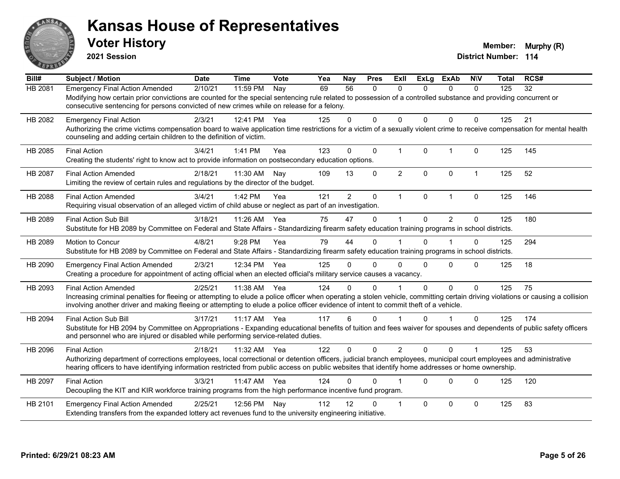

**2021 Session**

| Bill#          | <b>Subject / Motion</b>                                                                                                                                                                                                                                                                                                 | <b>Date</b> | <b>Time</b>  | Vote | Yea | <b>Nay</b>     | <b>Pres</b> | ExII           | <b>ExLg</b>  | <b>ExAb</b>    | <b>N\V</b>           | <b>Total</b> | RCS# |
|----------------|-------------------------------------------------------------------------------------------------------------------------------------------------------------------------------------------------------------------------------------------------------------------------------------------------------------------------|-------------|--------------|------|-----|----------------|-------------|----------------|--------------|----------------|----------------------|--------------|------|
| HB 2081        | <b>Emergency Final Action Amended</b>                                                                                                                                                                                                                                                                                   | 2/10/21     | 11:59 PM     | Nay  | 69  | 56             | 0           | $\Omega$       | 0            | $\Omega$       | $\mathbf{0}$         | 125          | 32   |
|                | Modifying how certain prior convictions are counted for the special sentencing rule related to possession of a controlled substance and providing concurrent or                                                                                                                                                         |             |              |      |     |                |             |                |              |                |                      |              |      |
|                | consecutive sentencing for persons convicted of new crimes while on release for a felony.                                                                                                                                                                                                                               |             |              |      |     |                |             |                |              |                |                      |              |      |
| HB 2082        | <b>Emergency Final Action</b>                                                                                                                                                                                                                                                                                           | 2/3/21      | 12:41 PM     | Yea  | 125 | 0              | $\Omega$    | $\Omega$       | $\Omega$     | $\Omega$       | $\mathbf{0}$         | 125          | 21   |
|                | Authorizing the crime victims compensation board to waive application time restrictions for a victim of a sexually violent crime to receive compensation for mental health                                                                                                                                              |             |              |      |     |                |             |                |              |                |                      |              |      |
|                | counseling and adding certain children to the definition of victim.                                                                                                                                                                                                                                                     |             |              |      |     |                |             |                |              |                |                      |              |      |
| HB 2085        | <b>Final Action</b>                                                                                                                                                                                                                                                                                                     | 3/4/21      | 1:41 PM      | Yea  | 123 | 0              | $\mathbf 0$ | $\mathbf{1}$   | $\mathbf 0$  | $\overline{1}$ | $\mathbf 0$          | 125          | 145  |
|                | Creating the students' right to know act to provide information on postsecondary education options.                                                                                                                                                                                                                     |             |              |      |     |                |             |                |              |                |                      |              |      |
| <b>HB 2087</b> | <b>Final Action Amended</b>                                                                                                                                                                                                                                                                                             | 2/18/21     | 11:30 AM     | Nay  | 109 | 13             | $\Omega$    | $\overline{2}$ | $\Omega$     | $\mathbf{0}$   | $\mathbf{1}$         | 125          | 52   |
|                | Limiting the review of certain rules and regulations by the director of the budget.                                                                                                                                                                                                                                     |             |              |      |     |                |             |                |              |                |                      |              |      |
| <b>HB 2088</b> | <b>Final Action Amended</b>                                                                                                                                                                                                                                                                                             | 3/4/21      | 1:42 PM      | Yea  | 121 | $\overline{2}$ | $\mathbf 0$ | $\mathbf{1}$   | $\mathbf{0}$ | $\overline{1}$ | $\Omega$             | 125          | 146  |
|                | Requiring visual observation of an alleged victim of child abuse or neglect as part of an investigation.                                                                                                                                                                                                                |             |              |      |     |                |             |                |              |                |                      |              |      |
| HB 2089        | <b>Final Action Sub Bill</b>                                                                                                                                                                                                                                                                                            | 3/18/21     | 11:26 AM     | Yea  | 75  | 47             | $\Omega$    |                | $\Omega$     | $\overline{2}$ | $\mathbf{0}$         | 125          | 180  |
|                | Substitute for HB 2089 by Committee on Federal and State Affairs - Standardizing firearm safety education training programs in school districts.                                                                                                                                                                        |             |              |      |     |                |             |                |              |                |                      |              |      |
| HB 2089        | Motion to Concur                                                                                                                                                                                                                                                                                                        | 4/8/21      | 9:28 PM      | Yea  | 79  | 44             | $\Omega$    |                | $\Omega$     |                | $\mathbf{0}$         | 125          | 294  |
|                | Substitute for HB 2089 by Committee on Federal and State Affairs - Standardizing firearm safety education training programs in school districts.                                                                                                                                                                        |             |              |      |     |                |             |                |              |                |                      |              |      |
|                |                                                                                                                                                                                                                                                                                                                         |             |              |      |     |                |             |                |              |                |                      |              |      |
| HB 2090        | <b>Emergency Final Action Amended</b><br>Creating a procedure for appointment of acting official when an elected official's military service causes a vacancy.                                                                                                                                                          | 2/3/21      | 12:34 PM Yea |      | 125 | 0              | 0           | $\Omega$       | $\Omega$     | $\Omega$       | $\Omega$             | 125          | 18   |
|                |                                                                                                                                                                                                                                                                                                                         |             |              |      |     |                |             |                |              |                |                      |              |      |
| HB 2093        | <b>Final Action Amended</b>                                                                                                                                                                                                                                                                                             | 2/25/21     | 11:38 AM     | Yea  | 124 | 0              | $\Omega$    |                | $\Omega$     | $\mathbf 0$    | $\mathbf{0}$         | 125          | 75   |
|                | Increasing criminal penalties for fleeing or attempting to elude a police officer when operating a stolen vehicle, committing certain driving violations or causing a collision<br>involving another driver and making fleeing or attempting to elude a police officer evidence of intent to commit theft of a vehicle. |             |              |      |     |                |             |                |              |                |                      |              |      |
|                |                                                                                                                                                                                                                                                                                                                         |             |              |      |     |                |             |                |              |                |                      |              |      |
| HB 2094        | <b>Final Action Sub Bill</b>                                                                                                                                                                                                                                                                                            | 3/17/21     | $11:17$ AM   | Yea  | 117 | 6              | $\Omega$    |                | $\Omega$     |                | $\Omega$             | 125          | 174  |
|                | Substitute for HB 2094 by Committee on Appropriations - Expanding educational benefits of tuition and fees waiver for spouses and dependents of public safety officers<br>and personnel who are injured or disabled while performing service-related duties.                                                            |             |              |      |     |                |             |                |              |                |                      |              |      |
|                |                                                                                                                                                                                                                                                                                                                         |             |              |      |     |                |             |                |              |                |                      |              |      |
| HB 2096        | <b>Final Action</b>                                                                                                                                                                                                                                                                                                     | 2/18/21     | 11:32 AM     | Yea  | 122 | $\Omega$       | $\Omega$    | 2              | $\Omega$     | $\Omega$       | $\blacktriangleleft$ | 125          | 53   |
|                | Authorizing department of corrections employees, local correctional or detention officers, judicial branch employees, municipal court employees and administrative<br>hearing officers to have identifying information restricted from public access on public websites that identify home addresses or home ownership. |             |              |      |     |                |             |                |              |                |                      |              |      |
|                |                                                                                                                                                                                                                                                                                                                         |             |              |      |     |                |             |                |              |                |                      |              |      |
| HB 2097        | <b>Final Action</b>                                                                                                                                                                                                                                                                                                     | 3/3/21      | 11:47 AM     | Yea  | 124 | U              | 0           |                | $\Omega$     | $\Omega$       | $\mathbf{0}$         | 125          | 120  |
|                | Decoupling the KIT and KIR workforce training programs from the high performance incentive fund program.                                                                                                                                                                                                                |             |              |      |     |                |             |                |              |                |                      |              |      |
| HB 2101        | <b>Emergency Final Action Amended</b>                                                                                                                                                                                                                                                                                   | 2/25/21     | 12:56 PM     | Nay  | 112 | 12             | 0           | -1             | $\Omega$     | $\Omega$       | $\mathbf{0}$         | 125          | 83   |
|                | Extending transfers from the expanded lottery act revenues fund to the university engineering initiative.                                                                                                                                                                                                               |             |              |      |     |                |             |                |              |                |                      |              |      |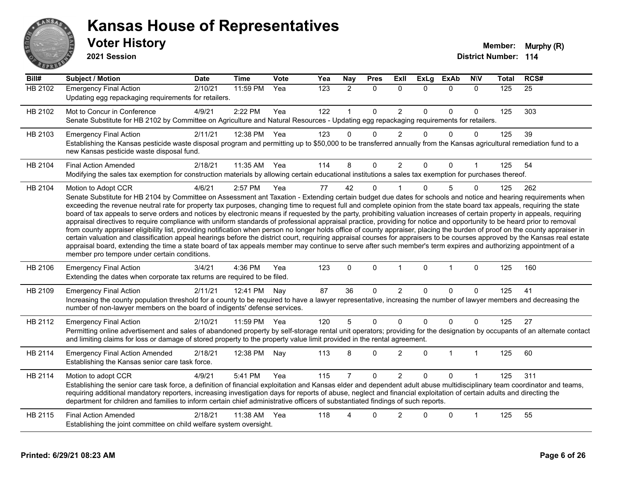

| Bill#          | <b>Subject / Motion</b>                                                                                                                                                                                                                                                                                                                                                                                                                                                                                                                                                                                                                                                                                                                                                                                                                                                                                                                                                                                                                                                                                                                                                                                                                                                                                     | <b>Date</b> | <b>Time</b> | Vote | Yea | <b>Nay</b>     | <b>Pres</b> | Exll           | <b>ExLg</b>  | <b>ExAb</b>  | <b>N\V</b>           | <b>Total</b> | RCS# |
|----------------|-------------------------------------------------------------------------------------------------------------------------------------------------------------------------------------------------------------------------------------------------------------------------------------------------------------------------------------------------------------------------------------------------------------------------------------------------------------------------------------------------------------------------------------------------------------------------------------------------------------------------------------------------------------------------------------------------------------------------------------------------------------------------------------------------------------------------------------------------------------------------------------------------------------------------------------------------------------------------------------------------------------------------------------------------------------------------------------------------------------------------------------------------------------------------------------------------------------------------------------------------------------------------------------------------------------|-------------|-------------|------|-----|----------------|-------------|----------------|--------------|--------------|----------------------|--------------|------|
| <b>HB 2102</b> | <b>Emergency Final Action</b><br>Updating egg repackaging requirements for retailers.                                                                                                                                                                                                                                                                                                                                                                                                                                                                                                                                                                                                                                                                                                                                                                                                                                                                                                                                                                                                                                                                                                                                                                                                                       | 2/10/21     | 11:59 PM    | Yea  | 123 | $\overline{2}$ | 0           | $\mathbf{0}$   | $\mathbf{0}$ | $\mathbf 0$  | $\mathbf{0}$         | 125          | 25   |
| HB 2102        | Mot to Concur in Conference<br>Senate Substitute for HB 2102 by Committee on Agriculture and Natural Resources - Updating egg repackaging requirements for retailers.                                                                                                                                                                                                                                                                                                                                                                                                                                                                                                                                                                                                                                                                                                                                                                                                                                                                                                                                                                                                                                                                                                                                       | 4/9/21      | 2:22 PM     | Yea  | 122 | $\mathbf{1}$   | 0           | $\overline{2}$ | $\mathbf 0$  | 0            | $\pmb{0}$            | 125          | 303  |
| HB 2103        | <b>Emergency Final Action</b><br>Establishing the Kansas pesticide waste disposal program and permitting up to \$50,000 to be transferred annually from the Kansas agricultural remediation fund to a<br>new Kansas pesticide waste disposal fund.                                                                                                                                                                                                                                                                                                                                                                                                                                                                                                                                                                                                                                                                                                                                                                                                                                                                                                                                                                                                                                                          | 2/11/21     | 12:38 PM    | Yea  | 123 | 0              | $\Omega$    | $\overline{2}$ | 0            | 0            | $\Omega$             | 125          | 39   |
| HB 2104        | <b>Final Action Amended</b><br>Modifying the sales tax exemption for construction materials by allowing certain educational institutions a sales tax exemption for purchases thereof.                                                                                                                                                                                                                                                                                                                                                                                                                                                                                                                                                                                                                                                                                                                                                                                                                                                                                                                                                                                                                                                                                                                       | 2/18/21     | 11:35 AM    | Yea  | 114 | 8              | $\Omega$    | $\overline{2}$ | $\Omega$     | $\Omega$     | $\blacktriangleleft$ | 125          | 54   |
| HB 2104        | Motion to Adopt CCR<br>Senate Substitute for HB 2104 by Committee on Assessment ant Taxation - Extending certain budget due dates for schools and notice and hearing requirements when<br>exceeding the revenue neutral rate for property tax purposes, changing time to request full and complete opinion from the state board tax appeals, requiring the state<br>board of tax appeals to serve orders and notices by electronic means if requested by the party, prohibiting valuation increases of certain property in appeals, requiring<br>appraisal directives to require compliance with uniform standards of professional appraisal practice, providing for notice and opportunity to be heard prior to removal<br>from county appraiser eligibility list, providing notification when person no longer holds office of county appraiser, placing the burden of proof on the county appraiser in<br>certain valuation and classification appeal hearings before the district court, requiring appraisal courses for appraisers to be courses approved by the Kansas real estate<br>appraisal board, extending the time a state board of tax appeals member may continue to serve after such member's term expires and authorizing appointment of a<br>member pro tempore under certain conditions. | 4/6/21      | 2:57 PM     | Yea  | 77  | 42             | 0           |                | $\Omega$     | 5            | 0                    | 125          | 262  |
| HB 2106        | <b>Emergency Final Action</b><br>Extending the dates when corporate tax returns are required to be filed.                                                                                                                                                                                                                                                                                                                                                                                                                                                                                                                                                                                                                                                                                                                                                                                                                                                                                                                                                                                                                                                                                                                                                                                                   | 3/4/21      | 4:36 PM     | Yea  | 123 | $\Omega$       | $\Omega$    | $\mathbf{1}$   | $\Omega$     | $\mathbf{1}$ | $\mathbf 0$          | 125          | 160  |
| HB 2109        | <b>Emergency Final Action</b><br>Increasing the county population threshold for a county to be required to have a lawyer representative, increasing the number of lawyer members and decreasing the<br>number of non-lawyer members on the board of indigents' defense services.                                                                                                                                                                                                                                                                                                                                                                                                                                                                                                                                                                                                                                                                                                                                                                                                                                                                                                                                                                                                                            | 2/11/21     | 12:41 PM    | Nav  | 87  | 36             | $\Omega$    | $\overline{2}$ | $\Omega$     | $\Omega$     | $\Omega$             | 125          | 41   |
| HB 2112        | <b>Emergency Final Action</b><br>Permitting online advertisement and sales of abandoned property by self-storage rental unit operators; providing for the designation by occupants of an alternate contact<br>and limiting claims for loss or damage of stored property to the property value limit provided in the rental agreement.                                                                                                                                                                                                                                                                                                                                                                                                                                                                                                                                                                                                                                                                                                                                                                                                                                                                                                                                                                       | 2/10/21     | 11:59 PM    | Yea  | 120 | 5              | 0           | $\Omega$       | 0            | 0            | $\Omega$             | 125          | 27   |
| HB 2114        | <b>Emergency Final Action Amended</b><br>Establishing the Kansas senior care task force.                                                                                                                                                                                                                                                                                                                                                                                                                                                                                                                                                                                                                                                                                                                                                                                                                                                                                                                                                                                                                                                                                                                                                                                                                    | 2/18/21     | 12:38 PM    | Nay  | 113 | 8              | $\Omega$    | $\overline{2}$ | $\Omega$     | $\mathbf 1$  | $\mathbf{1}$         | 125          | 60   |
| HB 2114        | Motion to adopt CCR<br>Establishing the senior care task force, a definition of financial exploitation and Kansas elder and dependent adult abuse multidisciplinary team coordinator and teams,<br>requiring additional mandatory reporters, increasing investigation days for reports of abuse, neglect and financial exploitation of certain adults and directing the<br>department for children and families to inform certain chief administrative officers of substantiated findings of such reports.                                                                                                                                                                                                                                                                                                                                                                                                                                                                                                                                                                                                                                                                                                                                                                                                  | 4/9/21      | 5:41 PM     | Yea  | 115 | 7              | $\Omega$    | $\overline{2}$ | $\Omega$     | 0            |                      | 125          | 311  |
| HB 2115        | <b>Final Action Amended</b><br>Establishing the joint committee on child welfare system oversight.                                                                                                                                                                                                                                                                                                                                                                                                                                                                                                                                                                                                                                                                                                                                                                                                                                                                                                                                                                                                                                                                                                                                                                                                          | 2/18/21     | 11:38 AM    | Yea  | 118 | Δ              | $\Omega$    | $\overline{2}$ | $\Omega$     | $\Omega$     | $\mathbf{1}$         | 125          | 55   |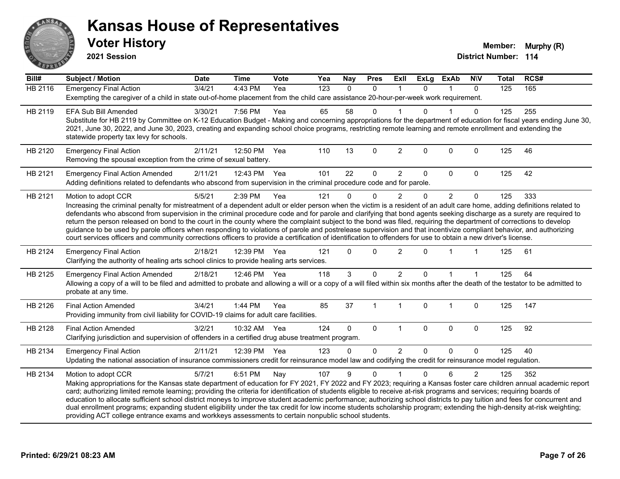

**2021 Session**

| $\overline{BiII#}$ | <b>Subject / Motion</b>                                                                                                                                                                                                                                                                                                                             | <b>Date</b> | <b>Time</b>  | Vote | Yea | Nay          | <b>Pres</b>    | ExIl           | <b>ExLg</b>  | <b>ExAb</b>    | <b>NIV</b>     | <b>Total</b> | RCS# |
|--------------------|-----------------------------------------------------------------------------------------------------------------------------------------------------------------------------------------------------------------------------------------------------------------------------------------------------------------------------------------------------|-------------|--------------|------|-----|--------------|----------------|----------------|--------------|----------------|----------------|--------------|------|
| <b>HB 2116</b>     | <b>Emergency Final Action</b>                                                                                                                                                                                                                                                                                                                       | 3/4/21      | 4:43 PM      | Yea  | 123 | $\Omega$     | $\mathbf{0}$   | $\overline{1}$ | $\Omega$     | 1              | $\mathbf{0}$   | 125          | 165  |
|                    | Exempting the caregiver of a child in state out-of-home placement from the child care assistance 20-hour-per-week work requirement.                                                                                                                                                                                                                 |             |              |      |     |              |                |                |              |                |                |              |      |
| HB 2119            | <b>EFA Sub Bill Amended</b>                                                                                                                                                                                                                                                                                                                         | 3/30/21     | 7:56 PM      | Yea  | 65  | 58           | 0              |                | <sup>n</sup> |                | 0              | 125          | 255  |
|                    | Substitute for HB 2119 by Committee on K-12 Education Budget - Making and concerning appropriations for the department of education for fiscal years ending June 30,                                                                                                                                                                                |             |              |      |     |              |                |                |              |                |                |              |      |
|                    | 2021, June 30, 2022, and June 30, 2023, creating and expanding school choice programs, restricting remote learning and remote enrollment and extending the<br>statewide property tax levy for schools.                                                                                                                                              |             |              |      |     |              |                |                |              |                |                |              |      |
|                    |                                                                                                                                                                                                                                                                                                                                                     |             |              |      |     |              |                |                |              |                |                |              |      |
| HB 2120            | <b>Emergency Final Action</b>                                                                                                                                                                                                                                                                                                                       | 2/11/21     | 12:50 PM     | Yea  | 110 | 13           | $\mathbf{0}$   | $\overline{2}$ | $\Omega$     | $\mathbf{0}$   | $\mathbf{0}$   | 125          | 46   |
|                    | Removing the spousal exception from the crime of sexual battery.                                                                                                                                                                                                                                                                                    |             |              |      |     |              |                |                |              |                |                |              |      |
| HB 2121            | <b>Emergency Final Action Amended</b>                                                                                                                                                                                                                                                                                                               | 2/11/21     | 12:43 PM Yea |      | 101 | 22           | $\Omega$       | $\overline{c}$ | $\Omega$     | $\mathbf 0$    | $\mathbf 0$    | 125          | 42   |
|                    | Adding definitions related to defendants who abscond from supervision in the criminal procedure code and for parole.                                                                                                                                                                                                                                |             |              |      |     |              |                |                |              |                |                |              |      |
| HB 2121            | Motion to adopt CCR                                                                                                                                                                                                                                                                                                                                 | 5/5/21      | 2:39 PM      | Yea  | 121 | $\Omega$     | $\Omega$       | $\overline{2}$ | $\Omega$     | $\overline{2}$ | $\mathbf{0}$   | 125          | 333  |
|                    | Increasing the criminal penalty for mistreatment of a dependent adult or elder person when the victim is a resident of an adult care home, adding definitions related to                                                                                                                                                                            |             |              |      |     |              |                |                |              |                |                |              |      |
|                    | defendants who abscond from supervision in the criminal procedure code and for parole and clarifying that bond agents seeking discharge as a surety are required to                                                                                                                                                                                 |             |              |      |     |              |                |                |              |                |                |              |      |
|                    | return the person released on bond to the court in the county where the complaint subject to the bond was filed, requiring the department of corrections to develop<br>guidance to be used by parole officers when responding to violations of parole and postrelease supervision and that incentivize compliant behavior, and authorizing          |             |              |      |     |              |                |                |              |                |                |              |      |
|                    | court services officers and community corrections officers to provide a certification of identification to offenders for use to obtain a new driver's license.                                                                                                                                                                                      |             |              |      |     |              |                |                |              |                |                |              |      |
| HB 2124            | <b>Emergency Final Action</b>                                                                                                                                                                                                                                                                                                                       | 2/18/21     | 12:39 PM     | Yea  | 121 | $\Omega$     | $\mathbf 0$    | $\overline{2}$ | $\Omega$     |                |                | 125          | 61   |
|                    | Clarifying the authority of healing arts school clinics to provide healing arts services.                                                                                                                                                                                                                                                           |             |              |      |     |              |                |                |              |                |                |              |      |
| HB 2125            | <b>Emergency Final Action Amended</b>                                                                                                                                                                                                                                                                                                               | 2/18/21     | 12:46 PM Yea |      | 118 | 3            | $\Omega$       | $\overline{2}$ | $\Omega$     |                |                | 125          | 64   |
|                    | Allowing a copy of a will to be filed and admitted to probate and allowing a will or a copy of a will filed within six months after the death of the testator to be admitted to                                                                                                                                                                     |             |              |      |     |              |                |                |              |                |                |              |      |
|                    | probate at any time.                                                                                                                                                                                                                                                                                                                                |             |              |      |     |              |                |                |              |                |                |              |      |
| HB 2126            | <b>Final Action Amended</b>                                                                                                                                                                                                                                                                                                                         | 3/4/21      | $1:44$ PM    | Yea  | 85  | 37           | $\overline{1}$ | $\overline{1}$ | $\mathbf{0}$ |                | $\mathbf 0$    | 125          | 147  |
|                    | Providing immunity from civil liability for COVID-19 claims for adult care facilities.                                                                                                                                                                                                                                                              |             |              |      |     |              |                |                |              |                |                |              |      |
|                    |                                                                                                                                                                                                                                                                                                                                                     |             |              |      |     |              |                |                |              |                |                |              |      |
| HB 2128            | <b>Final Action Amended</b>                                                                                                                                                                                                                                                                                                                         | 3/2/21      | 10:32 AM     | Yea  | 124 | $\mathbf{0}$ | $\mathbf{0}$   | $\overline{1}$ | $\mathbf{0}$ | $\mathbf{0}$   | $\mathbf 0$    | 125          | 92   |
|                    | Clarifying jurisdiction and supervision of offenders in a certified drug abuse treatment program.                                                                                                                                                                                                                                                   |             |              |      |     |              |                |                |              |                |                |              |      |
| HB 2134            | <b>Emergency Final Action</b>                                                                                                                                                                                                                                                                                                                       | 2/11/21     | 12:39 PM     | Yea  | 123 | $\Omega$     | $\Omega$       | $\overline{2}$ | $\Omega$     | $\mathbf 0$    | $\Omega$       | 125          | 40   |
|                    | Updating the national association of insurance commissioners credit for reinsurance model law and codifying the credit for reinsurance model regulation.                                                                                                                                                                                            |             |              |      |     |              |                |                |              |                |                |              |      |
| HB 2134            | Motion to adopt CCR                                                                                                                                                                                                                                                                                                                                 | 5/7/21      | 6:51 PM      | Nay  | 107 | 9            | $\mathbf{0}$   |                | 0            | 6              | $\overline{2}$ | 125          | 352  |
|                    | Making appropriations for the Kansas state department of education for FY 2021, FY 2022 and FY 2023; requiring a Kansas foster care children annual academic report                                                                                                                                                                                 |             |              |      |     |              |                |                |              |                |                |              |      |
|                    | card; authorizing limited remote learning; providing the criteria for identification of students eligible to receive at-risk programs and services; requiring boards of<br>education to allocate sufficient school district moneys to improve student academic performance; authorizing school districts to pay tuition and fees for concurrent and |             |              |      |     |              |                |                |              |                |                |              |      |
|                    | dual enrollment programs; expanding student eligibility under the tax credit for low income students scholarship program; extending the high-density at-risk weighting;                                                                                                                                                                             |             |              |      |     |              |                |                |              |                |                |              |      |
|                    | providing ACT college entrance exams and workkeys assessments to certain nonpublic school students.                                                                                                                                                                                                                                                 |             |              |      |     |              |                |                |              |                |                |              |      |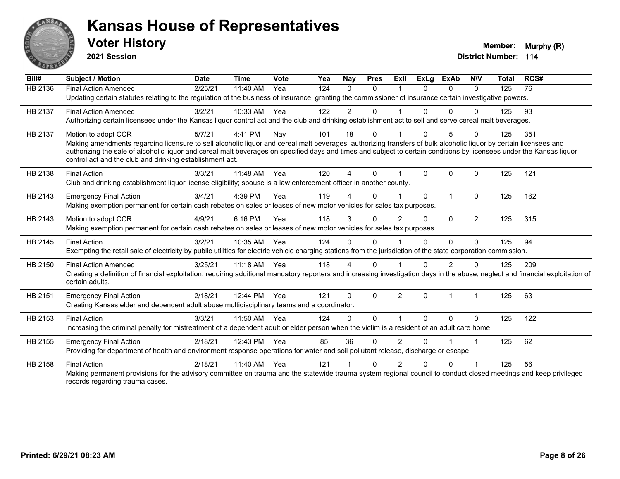

**2021 Session**

| Bill#          | <b>Subject / Motion</b>                                                                                                                                                                                                                                                                                                                                                                                | <b>Date</b> | <b>Time</b> | Vote | Yea | Nav            | <b>Pres</b> | ExII           | <b>ExLg</b> | <b>ExAb</b> | <b>NIV</b>           | <b>Total</b> | RCS# |
|----------------|--------------------------------------------------------------------------------------------------------------------------------------------------------------------------------------------------------------------------------------------------------------------------------------------------------------------------------------------------------------------------------------------------------|-------------|-------------|------|-----|----------------|-------------|----------------|-------------|-------------|----------------------|--------------|------|
| <b>HB 2136</b> | <b>Final Action Amended</b>                                                                                                                                                                                                                                                                                                                                                                            | 2/25/21     | 11:40 AM    | Yea  | 124 | 0              | $\Omega$    |                | $\Omega$    | 0           | $\Omega$             | 125          | 76   |
|                | Updating certain statutes relating to the regulation of the business of insurance; granting the commissioner of insurance certain investigative powers.                                                                                                                                                                                                                                                |             |             |      |     |                |             |                |             |             |                      |              |      |
| HB 2137        | <b>Final Action Amended</b>                                                                                                                                                                                                                                                                                                                                                                            | 3/2/21      | 10:33 AM    | Yea  | 122 | $\overline{2}$ | $\Omega$    |                | 0           | 0           | $\Omega$             | 125          | 93   |
|                | Authorizing certain licensees under the Kansas liquor control act and the club and drinking establishment act to sell and serve cereal malt beverages.                                                                                                                                                                                                                                                 |             |             |      |     |                |             |                |             |             |                      |              |      |
| HB 2137        | Motion to adopt CCR                                                                                                                                                                                                                                                                                                                                                                                    | 5/7/21      | 4:41 PM     | Nay  | 101 | 18             | $\Omega$    |                | 0           | 5           | $\Omega$             | 125          | 351  |
|                | Making amendments regarding licensure to sell alcoholic liquor and cereal malt beverages, authorizing transfers of bulk alcoholic liquor by certain licensees and<br>authorizing the sale of alcoholic liquor and cereal malt beverages on specified days and times and subject to certain conditions by licensees under the Kansas liquor<br>control act and the club and drinking establishment act. |             |             |      |     |                |             |                |             |             |                      |              |      |
| HB 2138        | <b>Final Action</b>                                                                                                                                                                                                                                                                                                                                                                                    | 3/3/21      | 11:48 AM    | Yea  | 120 | 4              | $\Omega$    |                | $\Omega$    | $\Omega$    | $\Omega$             | 125          | 121  |
|                | Club and drinking establishment liquor license eligibility; spouse is a law enforcement officer in another county.                                                                                                                                                                                                                                                                                     |             |             |      |     |                |             |                |             |             |                      |              |      |
| HB 2143        | <b>Emergency Final Action</b>                                                                                                                                                                                                                                                                                                                                                                          | 3/4/21      | 4:39 PM     | Yea  | 119 | 4              | $\Omega$    |                | $\Omega$    | 1           | $\mathbf{0}$         | 125          | 162  |
|                | Making exemption permanent for certain cash rebates on sales or leases of new motor vehicles for sales tax purposes.                                                                                                                                                                                                                                                                                   |             |             |      |     |                |             |                |             |             |                      |              |      |
| HB 2143        | Motion to adopt CCR                                                                                                                                                                                                                                                                                                                                                                                    | 4/9/21      | 6:16 PM     | Yea  | 118 | 3              | $\Omega$    | $\mathfrak{p}$ | $\Omega$    | $\Omega$    | 2                    | 125          | 315  |
|                | Making exemption permanent for certain cash rebates on sales or leases of new motor vehicles for sales tax purposes.                                                                                                                                                                                                                                                                                   |             |             |      |     |                |             |                |             |             |                      |              |      |
| HB 2145        | <b>Final Action</b>                                                                                                                                                                                                                                                                                                                                                                                    | 3/2/21      | 10:35 AM    | Yea  | 124 | 0              | $\Omega$    |                | 0           | $\Omega$    | $\Omega$             | 125          | 94   |
|                | Exempting the retail sale of electricity by public utilities for electric vehicle charging stations from the jurisdiction of the state corporation commission.                                                                                                                                                                                                                                         |             |             |      |     |                |             |                |             |             |                      |              |      |
| HB 2150        | <b>Final Action Amended</b>                                                                                                                                                                                                                                                                                                                                                                            | 3/25/21     | 11:18 AM    | Yea  | 118 | 4              | $\Omega$    |                | 0           | 2           | $\Omega$             | 125          | 209  |
|                | Creating a definition of financial exploitation, requiring additional mandatory reporters and increasing investigation days in the abuse, neglect and financial exploitation of<br>certain adults.                                                                                                                                                                                                     |             |             |      |     |                |             |                |             |             |                      |              |      |
| HB 2151        | <b>Emergency Final Action</b>                                                                                                                                                                                                                                                                                                                                                                          | 2/18/21     | 12:44 PM    | Yea  | 121 | $\Omega$       | $\Omega$    | 2              | $\Omega$    |             | $\mathbf{1}$         | 125          | 63   |
|                | Creating Kansas elder and dependent adult abuse multidisciplinary teams and a coordinator.                                                                                                                                                                                                                                                                                                             |             |             |      |     |                |             |                |             |             |                      |              |      |
| HB 2153        | <b>Final Action</b>                                                                                                                                                                                                                                                                                                                                                                                    | 3/3/21      | 11:50 AM    | Yea  | 124 | 0              | $\Omega$    |                | 0           | $\Omega$    | $\Omega$             | 125          | 122  |
|                | Increasing the criminal penalty for mistreatment of a dependent adult or elder person when the victim is a resident of an adult care home.                                                                                                                                                                                                                                                             |             |             |      |     |                |             |                |             |             |                      |              |      |
| HB 2155        | <b>Emergency Final Action</b>                                                                                                                                                                                                                                                                                                                                                                          | 2/18/21     | 12:43 PM    | Yea  | 85  | 36             | $\Omega$    | $\overline{2}$ | 0           |             | $\blacktriangleleft$ | 125          | 62   |
|                | Providing for department of health and environment response operations for water and soil pollutant release, discharge or escape.                                                                                                                                                                                                                                                                      |             |             |      |     |                |             |                |             |             |                      |              |      |
| HB 2158        | <b>Final Action</b>                                                                                                                                                                                                                                                                                                                                                                                    | 2/18/21     | 11:40 AM    | Yea  | 121 |                | $\Omega$    | $\mathcal{P}$  | 0           | $\Omega$    |                      | 125          | 56   |
|                | Making permanent provisions for the advisory committee on trauma and the statewide trauma system regional council to conduct closed meetings and keep privileged<br>records regarding trauma cases.                                                                                                                                                                                                    |             |             |      |     |                |             |                |             |             |                      |              |      |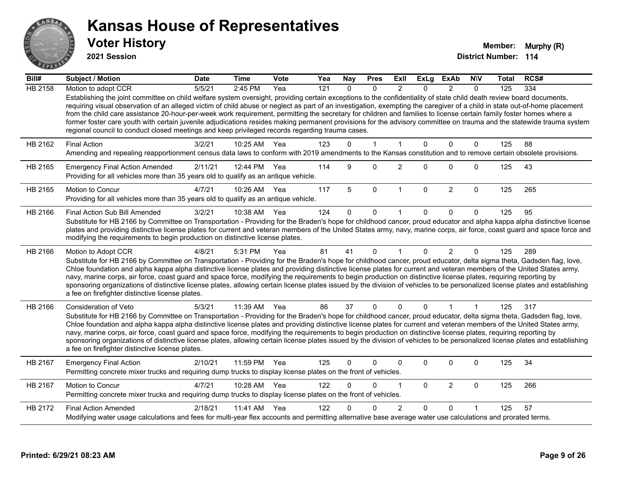

**2021 Session**

| Bill#          | <b>Subject / Motion</b>                                                                                                                                                                                                                                                                                                                                                                                                                                                                                                                                                                                                                                                                                                                                                                               | <b>Date</b> | <b>Time</b>  | <b>Vote</b> | Yea | <b>Nay</b> | <b>Pres</b>  | Exll           | ExLg        | ExAb           | <b>NIV</b>  | Total | RCS# |
|----------------|-------------------------------------------------------------------------------------------------------------------------------------------------------------------------------------------------------------------------------------------------------------------------------------------------------------------------------------------------------------------------------------------------------------------------------------------------------------------------------------------------------------------------------------------------------------------------------------------------------------------------------------------------------------------------------------------------------------------------------------------------------------------------------------------------------|-------------|--------------|-------------|-----|------------|--------------|----------------|-------------|----------------|-------------|-------|------|
| <b>HB 2158</b> | Motion to adopt CCR                                                                                                                                                                                                                                                                                                                                                                                                                                                                                                                                                                                                                                                                                                                                                                                   | 5/5/21      | 2:45 PM      | Yea         | 121 | $\Omega$   | $\Omega$     | $\mathfrak{p}$ | $\Omega$    | $\mathcal{P}$  | $\Omega$    | 125   | 334  |
|                | Establishing the joint committee on child welfare system oversight, providing certain exceptions to the confidentiality of state child death review board documents,<br>requiring visual observation of an alleged victim of child abuse or neglect as part of an investigation, exempting the caregiver of a child in state out-of-home placement<br>from the child care assistance 20-hour-per-week work requirement, permitting the secretary for children and families to license certain family foster homes where a<br>former foster care youth with certain juvenile adjudications resides making permanent provisions for the advisory committee on trauma and the statewide trauma system<br>regional council to conduct closed meetings and keep privileged records regarding trauma cases. |             |              |             |     |            |              |                |             |                |             |       |      |
| HB 2162        | <b>Final Action</b>                                                                                                                                                                                                                                                                                                                                                                                                                                                                                                                                                                                                                                                                                                                                                                                   | 3/2/21      | 10:25 AM     | Yea         | 123 | 0          | $\mathbf{1}$ | 1              | $\Omega$    | $\Omega$       | $\mathbf 0$ | 125   | 88   |
|                | Amending and repealing reapportionment census data laws to conform with 2019 amendments to the Kansas constitution and to remove certain obsolete provisions.                                                                                                                                                                                                                                                                                                                                                                                                                                                                                                                                                                                                                                         |             |              |             |     |            |              |                |             |                |             |       |      |
| HB 2165        | <b>Emergency Final Action Amended</b><br>Providing for all vehicles more than 35 years old to qualify as an antique vehicle.                                                                                                                                                                                                                                                                                                                                                                                                                                                                                                                                                                                                                                                                          | 2/11/21     | 12:44 PM     | Yea         | 114 | 9          | $\Omega$     | 2              | 0           | 0              | 0           | 125   | 43   |
| HB 2165        | Motion to Concur                                                                                                                                                                                                                                                                                                                                                                                                                                                                                                                                                                                                                                                                                                                                                                                      | 4/7/21      | 10:26 AM     | Yea         | 117 | 5          | $\mathbf 0$  | 1              | $\mathbf 0$ | $\overline{2}$ | $\mathbf 0$ | 125   | 265  |
|                | Providing for all vehicles more than 35 years old to qualify as an antique vehicle.                                                                                                                                                                                                                                                                                                                                                                                                                                                                                                                                                                                                                                                                                                                   |             |              |             |     |            |              |                |             |                |             |       |      |
| HB 2166        | Final Action Sub Bill Amended                                                                                                                                                                                                                                                                                                                                                                                                                                                                                                                                                                                                                                                                                                                                                                         | 3/2/21      | 10:38 AM Yea |             | 124 | 0          | $\mathbf 0$  |                | 0           | $\Omega$       | $\Omega$    | 125   | 95   |
|                | Substitute for HB 2166 by Committee on Transportation - Providing for the Braden's hope for childhood cancer, proud educator and alpha kappa alpha distinctive license<br>plates and providing distinctive license plates for current and veteran members of the United States army, navy, marine corps, air force, coast guard and space force and<br>modifying the requirements to begin production on distinctive license plates.                                                                                                                                                                                                                                                                                                                                                                  |             |              |             |     |            |              |                |             |                |             |       |      |
| HB 2166        | Motion to Adopt CCR                                                                                                                                                                                                                                                                                                                                                                                                                                                                                                                                                                                                                                                                                                                                                                                   | 4/8/21      | 5:31 PM      | Yea         | 81  | 41         | $\Omega$     | -1             | 0           | $\overline{2}$ | $\Omega$    | 125   | 289  |
|                | Substitute for HB 2166 by Committee on Transportation - Providing for the Braden's hope for childhood cancer, proud educator, delta sigma theta, Gadsden flag, love,<br>Chloe foundation and alpha kappa alpha distinctive license plates and providing distinctive license plates for current and veteran members of the United States army,<br>navy, marine corps, air force, coast guard and space force, modifying the requirements to begin production on distinctive license plates, requiring reporting by<br>sponsoring organizations of distinctive license plates, allowing certain license plates issued by the division of vehicles to be personalized license plates and establishing<br>a fee on firefighter distinctive license plates.                                                |             |              |             |     |            |              |                |             |                |             |       |      |
| HB 2166        | Consideration of Veto                                                                                                                                                                                                                                                                                                                                                                                                                                                                                                                                                                                                                                                                                                                                                                                 | 5/3/21      | 11:39 AM Yea |             | 86  | 37         | 0            | $\mathbf 0$    | 0           | 1              | 1           | 125   | 317  |
|                | Substitute for HB 2166 by Committee on Transportation - Providing for the Braden's hope for childhood cancer, proud educator, delta sigma theta, Gadsden flag, love,<br>Chloe foundation and alpha kappa alpha distinctive license plates and providing distinctive license plates for current and veteran members of the United States army,<br>navy, marine corps, air force, coast guard and space force, modifying the requirements to begin production on distinctive license plates, requiring reporting by<br>sponsoring organizations of distinctive license plates, allowing certain license plates issued by the division of vehicles to be personalized license plates and establishing<br>a fee on firefighter distinctive license plates.                                                |             |              |             |     |            |              |                |             |                |             |       |      |
| HB 2167        | <b>Emergency Final Action</b><br>Permitting concrete mixer trucks and requiring dump trucks to display license plates on the front of vehicles.                                                                                                                                                                                                                                                                                                                                                                                                                                                                                                                                                                                                                                                       | 2/10/21     | 11:59 PM Yea |             | 125 | 0          | 0            | 0              | 0           | 0              | $\mathbf 0$ | 125   | 34   |
| HB 2167        | Motion to Concur<br>Permitting concrete mixer trucks and requiring dump trucks to display license plates on the front of vehicles.                                                                                                                                                                                                                                                                                                                                                                                                                                                                                                                                                                                                                                                                    | 4/7/21      | 10:28 AM     | Yea         | 122 | U          | $\mathbf{0}$ |                | $\Omega$    | $\overline{2}$ | $\mathbf 0$ | 125   | 266  |
| HB 2172        | <b>Final Action Amended</b>                                                                                                                                                                                                                                                                                                                                                                                                                                                                                                                                                                                                                                                                                                                                                                           | 2/18/21     | 11:41 AM Yea |             | 122 |            | $\Omega$     | 2              | 0           | $\Omega$       |             | 125   | 57   |
|                | Modifying water usage calculations and fees for multi-year flex accounts and permitting alternative base average water use calculations and prorated terms.                                                                                                                                                                                                                                                                                                                                                                                                                                                                                                                                                                                                                                           |             |              |             |     |            |              |                |             |                |             |       |      |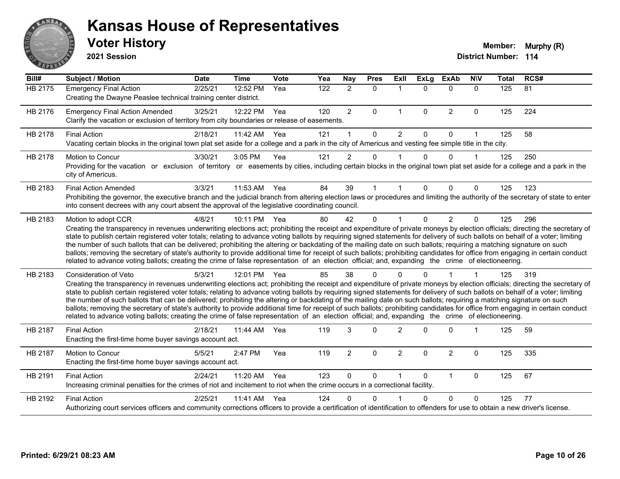

**2021 Session**

| Bill#          | <b>Subject / Motion</b>                                                                                                                                                                                                                                                                                                                                                                                                                                                                                                                                                                                                                                                                                                                                                                                                                                                                                    | <b>Date</b> | <b>Time</b> | Vote | Yea | Nay            | <b>Pres</b> | Exll                 | <b>ExLg</b>  | <b>ExAb</b>    | <b>NIV</b>   | <b>Total</b> | RCS#            |
|----------------|------------------------------------------------------------------------------------------------------------------------------------------------------------------------------------------------------------------------------------------------------------------------------------------------------------------------------------------------------------------------------------------------------------------------------------------------------------------------------------------------------------------------------------------------------------------------------------------------------------------------------------------------------------------------------------------------------------------------------------------------------------------------------------------------------------------------------------------------------------------------------------------------------------|-------------|-------------|------|-----|----------------|-------------|----------------------|--------------|----------------|--------------|--------------|-----------------|
| <b>HB 2175</b> | <b>Emergency Final Action</b><br>Creating the Dwayne Peaslee technical training center district.                                                                                                                                                                                                                                                                                                                                                                                                                                                                                                                                                                                                                                                                                                                                                                                                           | 2/25/21     | 12:52 PM    | Yea  | 122 | $\overline{2}$ | $\Omega$    | $\mathbf 1$          | $\Omega$     | $\Omega$       | $\Omega$     | 125          | $\overline{81}$ |
| HB 2176        | <b>Emergency Final Action Amended</b><br>Clarify the vacation or exclusion of territory from city boundaries or release of easements.                                                                                                                                                                                                                                                                                                                                                                                                                                                                                                                                                                                                                                                                                                                                                                      | 3/25/21     | 12:22 PM    | Yea  | 120 | $\overline{2}$ | $\Omega$    | $\mathbf{1}$         | $\Omega$     | $\overline{2}$ | $\pmb{0}$    | 125          | 224             |
| HB 2178        | <b>Final Action</b><br>Vacating certain blocks in the original town plat set aside for a college and a park in the city of Americus and vesting fee simple title in the city.                                                                                                                                                                                                                                                                                                                                                                                                                                                                                                                                                                                                                                                                                                                              | 2/18/21     | 11:42 AM    | Yea  | 121 |                | $\Omega$    | $\overline{2}$       | $\Omega$     | $\Omega$       |              | 125          | 58              |
| HB 2178        | <b>Motion to Concur</b><br>Providing for the vacation or exclusion of territory or easements by cities, including certain blocks in the original town plat set aside for a college and a park in the<br>city of Americus.                                                                                                                                                                                                                                                                                                                                                                                                                                                                                                                                                                                                                                                                                  | 3/30/21     | 3:05 PM     | Yea  | 121 | $\overline{2}$ | 0           |                      | 0            | $\Omega$       |              | 125          | 250             |
| HB 2183        | <b>Final Action Amended</b><br>Prohibiting the governor, the executive branch and the judicial branch from altering election laws or procedures and limiting the authority of the secretary of state to enter<br>into consent decrees with any court absent the approval of the legislative coordinating council.                                                                                                                                                                                                                                                                                                                                                                                                                                                                                                                                                                                          | 3/3/21      | 11:53 AM    | Yea  | 84  | 39             | 1           | 1                    | $\Omega$     | $\Omega$       | $\Omega$     | 125          | 123             |
| HB 2183        | Motion to adopt CCR<br>Creating the transparency in revenues underwriting elections act; prohibiting the receipt and expenditure of private moneys by election officials; directing the secretary of<br>state to publish certain registered voter totals; relating to advance voting ballots by requiring signed statements for delivery of such ballots on behalf of a voter; limiting<br>the number of such ballots that can be delivered; prohibiting the altering or backdating of the mailing date on such ballots; requiring a matching signature on such<br>ballots; removing the secretary of state's authority to provide additional time for receipt of such ballots; prohibiting candidates for office from engaging in certain conduct<br>related to advance voting ballots; creating the crime of false representation of an election official; and, expanding the crime of electioneering.   | 4/8/21      | 10:11 PM    | Yea  | 80  | 42             | $\Omega$    |                      | $\Omega$     | $\overline{2}$ | $\mathbf{0}$ | 125          | 296             |
| HB 2183        | Consideration of Veto<br>Creating the transparency in revenues underwriting elections act; prohibiting the receipt and expenditure of private moneys by election officials; directing the secretary of<br>state to publish certain registered voter totals; relating to advance voting ballots by requiring signed statements for delivery of such ballots on behalf of a voter; limiting<br>the number of such ballots that can be delivered; prohibiting the altering or backdating of the mailing date on such ballots; requiring a matching signature on such<br>ballots; removing the secretary of state's authority to provide additional time for receipt of such ballots; prohibiting candidates for office from engaging in certain conduct<br>related to advance voting ballots; creating the crime of false representation of an election official; and, expanding the crime of electioneering. | 5/3/21      | 12:01 PM    | Yea  | 85  | 38             | $\Omega$    | ∩                    |              |                |              | 125          | 319             |
| HB 2187        | <b>Final Action</b><br>Enacting the first-time home buyer savings account act.                                                                                                                                                                                                                                                                                                                                                                                                                                                                                                                                                                                                                                                                                                                                                                                                                             | 2/18/21     | 11:44 AM    | Yea  | 119 | 3              | $\Omega$    | $\mathfrak{p}$       | <sup>0</sup> | $\Omega$       | 1            | 125          | 59              |
| HB 2187        | Motion to Concur<br>Enacting the first-time home buyer savings account act.                                                                                                                                                                                                                                                                                                                                                                                                                                                                                                                                                                                                                                                                                                                                                                                                                                | 5/5/21      | 2:47 PM     | Yea  | 119 | $\overline{2}$ | 0           | $\overline{2}$       | $\Omega$     | $\overline{2}$ | 0            | 125          | 335             |
| HB 2191        | <b>Final Action</b><br>Increasing criminal penalties for the crimes of riot and incitement to riot when the crime occurs in a correctional facility.                                                                                                                                                                                                                                                                                                                                                                                                                                                                                                                                                                                                                                                                                                                                                       | 2/24/21     | 11:20 AM    | Yea  | 123 | $\mathbf 0$    | 0           | $\blacktriangleleft$ | $\Omega$     | $\mathbf{1}$   | $\mathbf 0$  | 125          | 67              |
| HB 2192        | <b>Final Action</b><br>Authorizing court services officers and community corrections officers to provide a certification of identification to offenders for use to obtain a new driver's license.                                                                                                                                                                                                                                                                                                                                                                                                                                                                                                                                                                                                                                                                                                          | 2/25/21     | 11:41 AM    | Yea  | 124 | U              | 0           |                      | <sup>n</sup> | $\Omega$       | $\Omega$     | 125          | 77              |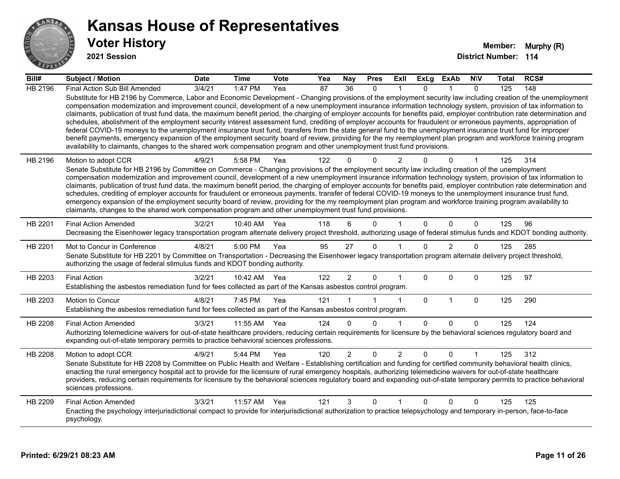

| Bill#          | Subject / Motion                                                                                                                                                                                                                                                                                                                                                                                                                                                                                                                                                                                                                                                                                                                                                                                                                                                                                                                                                                                                                                                                                                                                                                   | <b>Date</b> | <b>Time</b> | <b>Vote</b> | Yea | Nay            | <b>Pres</b>  | Exll           | <b>ExLa</b> | <b>ExAb</b> | <b>NIV</b>     | Total | RCS# |
|----------------|------------------------------------------------------------------------------------------------------------------------------------------------------------------------------------------------------------------------------------------------------------------------------------------------------------------------------------------------------------------------------------------------------------------------------------------------------------------------------------------------------------------------------------------------------------------------------------------------------------------------------------------------------------------------------------------------------------------------------------------------------------------------------------------------------------------------------------------------------------------------------------------------------------------------------------------------------------------------------------------------------------------------------------------------------------------------------------------------------------------------------------------------------------------------------------|-------------|-------------|-------------|-----|----------------|--------------|----------------|-------------|-------------|----------------|-------|------|
| <b>HB 2196</b> | Final Action Sub Bill Amended<br>Substitute for HB 2196 by Commerce, Labor and Economic Development - Changing provisions of the employment security law including creation of the unemployment<br>compensation modernization and improvement council, development of a new unemployment insurance information technology system, provision of tax information to<br>claimants, publication of trust fund data, the maximum benefit period, the charging of employer accounts for benefits paid, employer contribution rate determination and<br>schedules, abolishment of the employment security interest assessment fund, crediting of employer accounts for fraudulent or erroneous payments, appropriation of<br>federal COVID-19 moneys to the unemployment insurance trust fund, transfers from the state general fund to the unemployment insurance trust fund for improper<br>benefit payments, emergency expansion of the employment security board of review, providing for the my reemployment plan program and workforce training program<br>availability to claimants, changes to the shared work compensation program and other unemployment trust fund provisions. | 3/4/21      | 1:47 PM     | Yea         | 87  | 36             | $\Omega$     |                | $\Omega$    |             | $\Omega$       | 125   | 148  |
| HB 2196        | Motion to adopt CCR<br>Senate Substitute for HB 2196 by Committee on Commerce - Changing provisions of the employment security law including creation of the unemployment<br>compensation modernization and improvement council, development of a new unemployment insurance information technology system, provision of tax information to<br>claimants, publication of trust fund data, the maximum benefit period, the charging of employer accounts for benefits paid, employer contribution rate determination and<br>schedules, crediting of employer accounts for fraudulent or erroneous payments, transfer of federal COVID-19 moneys to the unemployment insurance trust fund,<br>emergency expansion of the employment security board of review, providing for the my reemployment plan program and workforce training program availability to<br>claimants, changes to the shared work compensation program and other unemployment trust fund provisions.                                                                                                                                                                                                              | 4/9/21      | 5:58 PM     | Yea         | 122 | $\Omega$       | $\Omega$     | $\mathfrak{p}$ | $\Omega$    | $\Omega$    | $\overline{1}$ | 125   | 314  |
| HB 2201        | <b>Final Action Amended</b><br>Decreasing the Eisenhower legacy transportation program alternate delivery project threshold, authorizing usage of federal stimulus funds and KDOT bonding authority.                                                                                                                                                                                                                                                                                                                                                                                                                                                                                                                                                                                                                                                                                                                                                                                                                                                                                                                                                                               | 3/2/21      | 10:40 AM    | Yea         | 118 | 6              | <sup>0</sup> |                | 0           | $\Omega$    | $\Omega$       | 125   | 96   |
| HB 2201        | Mot to Concur in Conference<br>Senate Substitute for HB 2201 by Committee on Transportation - Decreasing the Eisenhower legacy transportation program alternate delivery project threshold,<br>authorizing the usage of federal stimulus funds and KDOT bonding authority.                                                                                                                                                                                                                                                                                                                                                                                                                                                                                                                                                                                                                                                                                                                                                                                                                                                                                                         | 4/8/21      | 5:00 PM     | Yea         | 95  | 27             | $\Omega$     |                | 0           | 2           | $\Omega$       | 125   | 285  |
| HB 2203        | <b>Final Action</b><br>Establishing the asbestos remediation fund for fees collected as part of the Kansas asbestos control program.                                                                                                                                                                                                                                                                                                                                                                                                                                                                                                                                                                                                                                                                                                                                                                                                                                                                                                                                                                                                                                               | 3/2/21      | 10:42 AM    | Yea         | 122 | $\overline{2}$ | $\Omega$     |                | 0           | $\Omega$    | $\mathbf{0}$   | 125   | 97   |
| HB 2203        | <b>Motion to Concur</b><br>Establishing the asbestos remediation fund for fees collected as part of the Kansas asbestos control program.                                                                                                                                                                                                                                                                                                                                                                                                                                                                                                                                                                                                                                                                                                                                                                                                                                                                                                                                                                                                                                           | 4/8/21      | 7:45 PM     | Yea         | 121 |                |              |                | $\Omega$    | 1           | $\Omega$       | 125   | 290  |
| <b>HB 2208</b> | <b>Final Action Amended</b><br>Authorizing telemedicine waivers for out-of-state healthcare providers, reducing certain requirements for licensure by the behavioral sciences regulatory board and<br>expanding out-of-state temporary permits to practice behavioral sciences professions.                                                                                                                                                                                                                                                                                                                                                                                                                                                                                                                                                                                                                                                                                                                                                                                                                                                                                        | 3/3/21      | 11:55 AM    | Yea         | 124 | $\Omega$       | $\Omega$     |                | $\Omega$    | $\Omega$    | $\Omega$       | 125   | 124  |
| HB 2208        | Motion to adopt CCR<br>Senate Substitute for HB 2208 by Committee on Public Health and Welfare - Establishing certification and funding for certified community behavioral health clinics,<br>enacting the rural emergency hospital act to provide for the licensure of rural emergency hospitals, authorizing telemedicine waivers for out-of-state healthcare<br>providers, reducing certain requirements for licensure by the behavioral sciences regulatory board and expanding out-of-state temporary permits to practice behavioral<br>sciences professions.                                                                                                                                                                                                                                                                                                                                                                                                                                                                                                                                                                                                                 | 4/9/21      | 5:44 PM     | Yea         | 120 | $\overline{2}$ | $\Omega$     | $\overline{2}$ | 0           | $\Omega$    | 1              | 125   | 312  |
| HB 2209        | <b>Final Action Amended</b><br>Enacting the psychology interjurisdictional compact to provide for interjurisdictional authorization to practice telepsychology and temporary in-person, face-to-face<br>psychology.                                                                                                                                                                                                                                                                                                                                                                                                                                                                                                                                                                                                                                                                                                                                                                                                                                                                                                                                                                | 3/3/21      | 11:57 AM    | Yea         | 121 | 3              | $\Omega$     |                | 0           | $\Omega$    | $\Omega$       | 125   | 125  |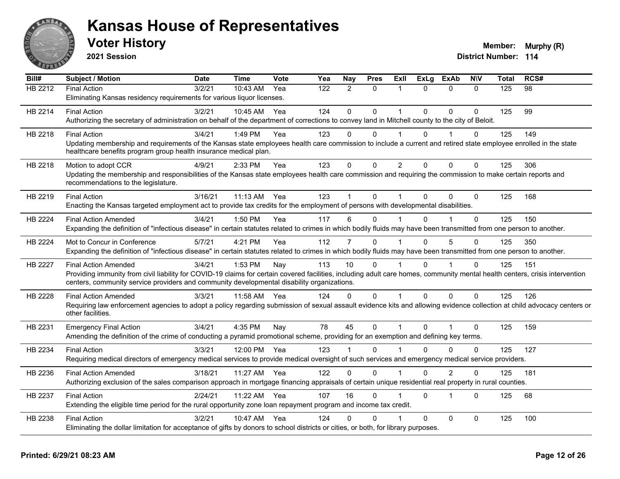

**2021 Session**

| Bill#          | <b>Subject / Motion</b>                                                                                                                                                                            | <b>Date</b> | <b>Time</b> | Vote | Yea | Nay          | <b>Pres</b>  | ExII           | <b>ExLg</b> | <b>ExAb</b>             | <b>NIV</b>   | Total | RCS# |
|----------------|----------------------------------------------------------------------------------------------------------------------------------------------------------------------------------------------------|-------------|-------------|------|-----|--------------|--------------|----------------|-------------|-------------------------|--------------|-------|------|
| HB 2212        | <b>Final Action</b>                                                                                                                                                                                | 3/2/21      | 10:43 AM    | Yea  | 122 | 2            | $\mathbf{0}$ | $\mathbf 1$    | $\Omega$    | $\mathbf{0}$            | $\Omega$     | 125   | 98   |
|                | Eliminating Kansas residency requirements for various liquor licenses.                                                                                                                             |             |             |      |     |              |              |                |             |                         |              |       |      |
| HB 2214        | <b>Final Action</b>                                                                                                                                                                                | 3/2/21      | 10:45 AM    | Yea  | 124 | $\Omega$     | $\Omega$     | $\mathbf 1$    | $\Omega$    | $\Omega$                | $\mathbf{0}$ | 125   | 99   |
|                | Authorizing the secretary of administration on behalf of the department of corrections to convey land in Mitchell county to the city of Beloit.                                                    |             |             |      |     |              |              |                |             |                         |              |       |      |
| HB 2218        | <b>Final Action</b>                                                                                                                                                                                | 3/4/21      | 1:49 PM     | Yea  | 123 | 0            | $\Omega$     | $\mathbf 1$    | $\Omega$    |                         | 0            | 125   | 149  |
|                | Updating membership and requirements of the Kansas state employees health care commission to include a current and retired state employee enrolled in the state                                    |             |             |      |     |              |              |                |             |                         |              |       |      |
|                | healthcare benefits program group health insurance medical plan.                                                                                                                                   |             |             |      |     |              |              |                |             |                         |              |       |      |
| HB 2218        | Motion to adopt CCR                                                                                                                                                                                | 4/9/21      | 2:33 PM     | Yea  | 123 | $\mathbf 0$  | $\mathbf 0$  | $\overline{2}$ | $\Omega$    | $\Omega$                | $\mathbf 0$  | 125   | 306  |
|                | Updating the membership and responsibilities of the Kansas state employees health care commission and requiring the commission to make certain reports and                                         |             |             |      |     |              |              |                |             |                         |              |       |      |
|                | recommendations to the legislature.                                                                                                                                                                |             |             |      |     |              |              |                |             |                         |              |       |      |
| HB 2219        | <b>Final Action</b>                                                                                                                                                                                | 3/16/21     | 11:13 AM    | Yea  | 123 |              | $\mathbf{0}$ | 1              | $\Omega$    | $\Omega$                | $\mathbf{0}$ | 125   | 168  |
|                | Enacting the Kansas targeted employment act to provide tax credits for the employment of persons with developmental disabilities.                                                                  |             |             |      |     |              |              |                |             |                         |              |       |      |
| <b>HB 2224</b> | <b>Final Action Amended</b>                                                                                                                                                                        | 3/4/21      | 1:50 PM     | Yea  | 117 | 6            | 0            |                | 0           |                         | 0            | 125   | 150  |
|                | Expanding the definition of "infectious disease" in certain statutes related to crimes in which bodily fluids may have been transmitted from one person to another.                                |             |             |      |     |              |              |                |             |                         |              |       |      |
|                |                                                                                                                                                                                                    |             |             |      |     |              |              |                |             |                         |              |       |      |
| HB 2224        | Mot to Concur in Conference<br>Expanding the definition of "infectious disease" in certain statutes related to crimes in which bodily fluids may have been transmitted from one person to another. | 5/7/21      | 4:21 PM     | Yea  | 112 | 7            | $\Omega$     |                | $\Omega$    | 5                       | $\Omega$     | 125   | 350  |
|                |                                                                                                                                                                                                    |             |             |      |     |              |              |                |             |                         |              |       |      |
| <b>HB 2227</b> | <b>Final Action Amended</b>                                                                                                                                                                        | 3/4/21      | 1:53 PM     | Nay  | 113 | 10           | $\Omega$     |                | $\Omega$    |                         | $\mathbf 0$  | 125   | 151  |
|                | Providing immunity from civil liability for COVID-19 claims for certain covered facilities, including adult care homes, community mental health centers, crisis intervention                       |             |             |      |     |              |              |                |             |                         |              |       |      |
|                | centers, community service providers and community developmental disability organizations.                                                                                                         |             |             |      |     |              |              |                |             |                         |              |       |      |
| HB 2228        | <b>Final Action Amended</b>                                                                                                                                                                        | 3/3/21      | 11:58 AM    | Yea  | 124 | $\Omega$     | $\Omega$     | 1              | $\Omega$    | $\mathbf{0}$            | $\Omega$     | 125   | 126  |
|                | Requiring law enforcement agencies to adopt a policy regarding submission of sexual assault evidence kits and allowing evidence collection at child advocacy centers or                            |             |             |      |     |              |              |                |             |                         |              |       |      |
|                | other facilities.                                                                                                                                                                                  |             |             |      |     |              |              |                |             |                         |              |       |      |
| HB 2231        | <b>Emergency Final Action</b>                                                                                                                                                                      | 3/4/21      | 4:35 PM     | Nay  | 78  | 45           | $\mathbf 0$  | $\mathbf{1}$   | $\Omega$    | $\overline{1}$          | $\Omega$     | 125   | 159  |
|                | Amending the definition of the crime of conducting a pyramid promotional scheme, providing for an exemption and defining key terms.                                                                |             |             |      |     |              |              |                |             |                         |              |       |      |
| HB 2234        | <b>Final Action</b>                                                                                                                                                                                | 3/3/21      | 12:00 PM    | Yea  | 123 |              | $\Omega$     |                | 0           | $\Omega$                | $\Omega$     | 125   | 127  |
|                | Requiring medical directors of emergency medical services to provide medical oversight of such services and emergency medical service providers.                                                   |             |             |      |     |              |              |                |             |                         |              |       |      |
| HB 2236        | <b>Final Action Amended</b>                                                                                                                                                                        | 3/18/21     | 11:27 AM    | Yea  | 122 | $\mathbf{0}$ | $\Omega$     | $\mathbf 1$    | $\Omega$    | $\overline{2}$          | $\mathbf{0}$ | 125   | 181  |
|                | Authorizing exclusion of the sales comparison approach in mortgage financing appraisals of certain unique residential real property in rural counties.                                             |             |             |      |     |              |              |                |             |                         |              |       |      |
| HB 2237        | <b>Final Action</b>                                                                                                                                                                                | 2/24/21     | 11:22 AM    | Yea  | 107 | 16           | $\Omega$     |                | $\Omega$    | $\overline{\mathbf{1}}$ | $\Omega$     | 125   | 68   |
|                | Extending the eligible time period for the rural opportunity zone loan repayment program and income tax credit.                                                                                    |             |             |      |     |              |              |                |             |                         |              |       |      |
|                |                                                                                                                                                                                                    |             |             |      |     |              |              |                |             |                         |              |       |      |
| HB 2238        | <b>Final Action</b><br>Eliminating the dollar limitation for acceptance of gifts by donors to school districts or cities, or both, for library purposes.                                           | 3/2/21      | 10:47 AM    | Yea  | 124 | 0            | $\Omega$     |                | $\Omega$    | $\mathbf 0$             | $\mathbf{0}$ | 125   | 100  |
|                |                                                                                                                                                                                                    |             |             |      |     |              |              |                |             |                         |              |       |      |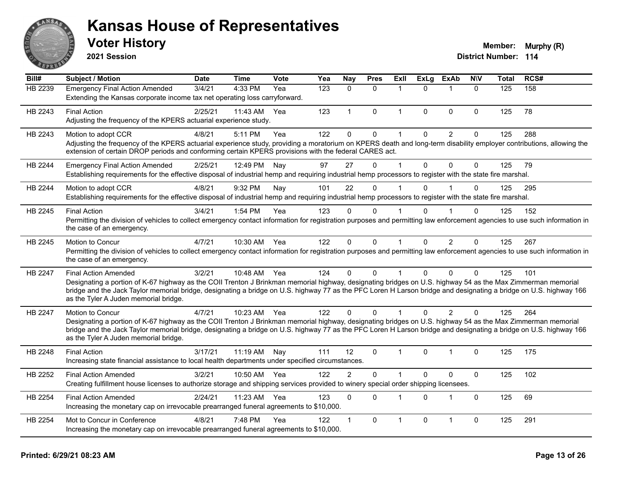

**2021 Session**

| Bill#   | <b>Subject / Motion</b>                                                                                                                                                                                                                                                                                                                                                                                  | <b>Date</b> | <b>Time</b> | Vote | Yea | Nay            | <b>Pres</b>  | ExIl        | <b>ExLg</b>  | <b>ExAb</b>    | <b>NIV</b>   | <b>Total</b>     | RCS# |
|---------|----------------------------------------------------------------------------------------------------------------------------------------------------------------------------------------------------------------------------------------------------------------------------------------------------------------------------------------------------------------------------------------------------------|-------------|-------------|------|-----|----------------|--------------|-------------|--------------|----------------|--------------|------------------|------|
| HB 2239 | <b>Emergency Final Action Amended</b><br>Extending the Kansas corporate income tax net operating loss carryforward.                                                                                                                                                                                                                                                                                      | 3/4/21      | 4:33 PM     | Yea  | 123 | $\Omega$       | $\Omega$     | 1           | $\Omega$     | $\mathbf{1}$   | $\Omega$     | $\overline{125}$ | 158  |
| HB 2243 | <b>Final Action</b><br>Adjusting the frequency of the KPERS actuarial experience study.                                                                                                                                                                                                                                                                                                                  | 2/25/21     | 11:43 AM    | Yea  | 123 | $\mathbf{1}$   | 0            | 1           | 0            | 0              | $\mathbf 0$  | 125              | 78   |
| HB 2243 | Motion to adopt CCR<br>Adjusting the frequency of the KPERS actuarial experience study, providing a moratorium on KPERS death and long-term disability employer contributions, allowing the<br>extension of certain DROP periods and conforming certain KPERS provisions with the federal CARES act.                                                                                                     | 4/8/21      | 5:11 PM     | Yea  | 122 | $\mathbf 0$    | $\mathbf 0$  | $\mathbf 1$ | $\mathbf 0$  | $\overline{2}$ | $\Omega$     | 125              | 288  |
| HB 2244 | <b>Emergency Final Action Amended</b><br>Establishing requirements for the effective disposal of industrial hemp and requiring industrial hemp processors to register with the state fire marshal.                                                                                                                                                                                                       | 2/25/21     | 12:49 PM    | Nay  | 97  | 27             | $\Omega$     |             | 0            | $\Omega$       | 0            | 125              | 79   |
| HB 2244 | Motion to adopt CCR<br>Establishing requirements for the effective disposal of industrial hemp and requiring industrial hemp processors to register with the state fire marshal.                                                                                                                                                                                                                         | 4/8/21      | 9:32 PM     | Nay  | 101 | 22             | $\mathbf{0}$ |             | $\mathbf{0}$ |                | $\Omega$     | 125              | 295  |
| HB 2245 | <b>Final Action</b><br>Permitting the division of vehicles to collect emergency contact information for registration purposes and permitting law enforcement agencies to use such information in<br>the case of an emergency.                                                                                                                                                                            | 3/4/21      | 1:54 PM     | Yea  | 123 | $\mathbf 0$    | $\mathbf 0$  |             | $\mathbf 0$  | $\overline{1}$ | $\Omega$     | 125              | 152  |
| HB 2245 | Motion to Concur<br>Permitting the division of vehicles to collect emergency contact information for registration purposes and permitting law enforcement agencies to use such information in<br>the case of an emergency.                                                                                                                                                                               | 4/7/21      | 10:30 AM    | Yea  | 122 | $\mathbf{0}$   | $\mathbf{0}$ | 1           | $\Omega$     | $\overline{2}$ | $\Omega$     | 125              | 267  |
| HB 2247 | <b>Final Action Amended</b><br>Designating a portion of K-67 highway as the COII Trenton J Brinkman memorial highway, designating bridges on U.S. highway 54 as the Max Zimmerman memorial<br>bridge and the Jack Taylor memorial bridge, designating a bridge on U.S. highway 77 as the PFC Loren H Larson bridge and designating a bridge on U.S. highway 166<br>as the Tyler A Juden memorial bridge. | 3/2/21      | 10:48 AM    | Yea  | 124 | $\mathbf{0}$   | $\Omega$     |             | $\Omega$     | $\Omega$       | $\Omega$     | 125              | 101  |
| HB 2247 | Motion to Concur<br>Designating a portion of K-67 highway as the COII Trenton J Brinkman memorial highway, designating bridges on U.S. highway 54 as the Max Zimmerman memorial<br>bridge and the Jack Taylor memorial bridge, designating a bridge on U.S. highway 77 as the PFC Loren H Larson bridge and designating a bridge on U.S. highway 166<br>as the Tyler A Juden memorial bridge.            | 4/7/21      | 10:23 AM    | Yea  | 122 | $\mathbf{0}$   | $\Omega$     |             | $\Omega$     | 2              | $\Omega$     | 125              | 264  |
| HB 2248 | <b>Final Action</b><br>Increasing state financial assistance to local health departments under specified circumstances.                                                                                                                                                                                                                                                                                  | 3/17/21     | 11:19 AM    | Nav  | 111 | 12             | $\mathbf{0}$ | 1           | $\mathbf 0$  | $\mathbf 1$    | $\mathbf{0}$ | 125              | 175  |
| HB 2252 | <b>Final Action Amended</b><br>Creating fulfillment house licenses to authorize storage and shipping services provided to winery special order shipping licensees.                                                                                                                                                                                                                                       | 3/2/21      | 10:50 AM    | Yea  | 122 | $\overline{2}$ | $\Omega$     |             | $\Omega$     | $\Omega$       | $\Omega$     | 125              | 102  |
| HB 2254 | <b>Final Action Amended</b><br>Increasing the monetary cap on irrevocable prearranged funeral agreements to \$10,000.                                                                                                                                                                                                                                                                                    | 2/24/21     | 11:23 AM    | Yea  | 123 | $\mathbf 0$    | $\Omega$     |             | $\Omega$     | $\mathbf 1$    | $\mathbf 0$  | 125              | 69   |
| HB 2254 | Mot to Concur in Conference<br>Increasing the monetary cap on irrevocable prearranged funeral agreements to \$10,000.                                                                                                                                                                                                                                                                                    | 4/8/21      | 7:48 PM     | Yea  | 122 | $\mathbf{1}$   | $\mathbf 0$  | 1           | $\pmb{0}$    | 1              | $\mathbf 0$  | 125              | 291  |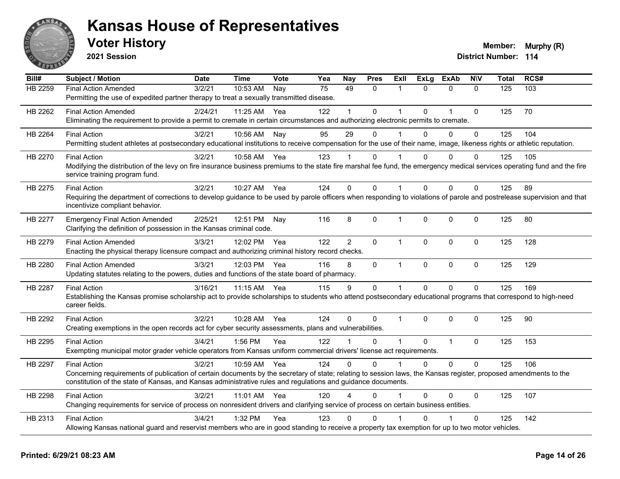

**2021 Session**

| Bill#          | <b>Subject / Motion</b>                                                                                                                                                                                   | <b>Date</b> | <b>Time</b> | <b>Vote</b> | Yea | <b>Nay</b>     | <b>Pres</b>  | ExII           | <b>ExLg</b> | <b>ExAb</b>    | <b>NIV</b>   | <b>Total</b> | RCS# |
|----------------|-----------------------------------------------------------------------------------------------------------------------------------------------------------------------------------------------------------|-------------|-------------|-------------|-----|----------------|--------------|----------------|-------------|----------------|--------------|--------------|------|
| <b>HB 2259</b> | <b>Final Action Amended</b>                                                                                                                                                                               | 3/2/21      | 10:53 AM    | Nay         | 75  | 49             | $\Omega$     | 1              | $\Omega$    | $\mathbf{0}$   | $\mathbf{0}$ | 125          | 103  |
|                | Permitting the use of expedited partner therapy to treat a sexually transmitted disease.                                                                                                                  |             |             |             |     |                |              |                |             |                |              |              |      |
| HB 2262        | <b>Final Action Amended</b>                                                                                                                                                                               | 2/24/21     | 11:25 AM    | Yea         | 122 |                | $\Omega$     | $\overline{1}$ | $\Omega$    | $\overline{1}$ | $\mathbf{0}$ | 125          | 70   |
|                | Eliminating the requirement to provide a permit to cremate in certain circumstances and authorizing electronic permits to cremate.                                                                        |             |             |             |     |                |              |                |             |                |              |              |      |
| HB 2264        | <b>Final Action</b>                                                                                                                                                                                       | 3/2/21      | 10:56 AM    | Nay         | 95  | 29             | $\Omega$     |                | $\Omega$    | $\Omega$       | $\Omega$     | 125          | 104  |
|                | Permitting student athletes at postsecondary educational institutions to receive compensation for the use of their name, image, likeness rights or athletic reputation.                                   |             |             |             |     |                |              |                |             |                |              |              |      |
| HB 2270        | <b>Final Action</b>                                                                                                                                                                                       | 3/2/21      | 10:58 AM    | Yea         | 123 |                | 0            |                | 0           | $\Omega$       | $\Omega$     | 125          | 105  |
|                | Modifying the distribution of the levy on fire insurance business premiums to the state fire marshal fee fund, the emergency medical services operating fund and the fire                                 |             |             |             |     |                |              |                |             |                |              |              |      |
|                | service training program fund.                                                                                                                                                                            |             |             |             |     |                |              |                |             |                |              |              |      |
| HB 2275        | <b>Final Action</b>                                                                                                                                                                                       | 3/2/21      | 10:27 AM    | Yea         | 124 | 0              | 0            | $\overline{1}$ | $\Omega$    | $\Omega$       | $\mathbf{0}$ | 125          | 89   |
|                | Requiring the department of corrections to develop guidance to be used by parole officers when responding to violations of parole and postrelease supervision and that<br>incentivize compliant behavior. |             |             |             |     |                |              |                |             |                |              |              |      |
|                |                                                                                                                                                                                                           |             |             |             |     |                |              |                |             |                |              |              |      |
| HB 2277        | <b>Emergency Final Action Amended</b><br>Clarifying the definition of possession in the Kansas criminal code.                                                                                             | 2/25/21     | 12:51 PM    | Nay         | 116 | 8              | 0            | $\mathbf{1}$   | $\mathbf 0$ | $\mathbf 0$    | $\mathbf 0$  | 125          | 80   |
|                |                                                                                                                                                                                                           | 3/3/21      | 12:02 PM    | Yea         | 122 | $\overline{2}$ | $\Omega$     | $\mathbf{1}$   | $\Omega$    | $\mathbf{0}$   | $\Omega$     |              | 128  |
| HB 2279        | <b>Final Action Amended</b><br>Enacting the physical therapy licensure compact and authorizing criminal history record checks.                                                                            |             |             |             |     |                |              |                |             |                |              | 125          |      |
| HB 2280        | <b>Final Action Amended</b>                                                                                                                                                                               | 3/3/21      | 12:03 PM    | Yea         | 116 | 8              | $\mathbf 0$  | $\mathbf{1}$   | 0           | $\mathbf 0$    | $\mathbf 0$  | 125          | 129  |
|                | Updating statutes relating to the powers, duties and functions of the state board of pharmacy.                                                                                                            |             |             |             |     |                |              |                |             |                |              |              |      |
|                | <b>Final Action</b>                                                                                                                                                                                       | 3/16/21     |             |             | 115 | 9              | 0            | $\mathbf 1$    | $\Omega$    | $\Omega$       | $\mathbf 0$  | 125          | 169  |
| HB 2287        | Establishing the Kansas promise scholarship act to provide scholarships to students who attend postsecondary educational programs that correspond to high-need                                            |             | 11:15 AM    | Yea         |     |                |              |                |             |                |              |              |      |
|                | career fields.                                                                                                                                                                                            |             |             |             |     |                |              |                |             |                |              |              |      |
| HB 2292        | <b>Final Action</b>                                                                                                                                                                                       | 3/2/21      | 10:28 AM    | Yea         | 124 | 0              | $\Omega$     | $\mathbf{1}$   | $\Omega$    | $\Omega$       | $\mathbf{0}$ | 125          | 90   |
|                | Creating exemptions in the open records act for cyber security assessments, plans and vulnerabilities.                                                                                                    |             |             |             |     |                |              |                |             |                |              |              |      |
| HB 2295        | <b>Final Action</b>                                                                                                                                                                                       | 3/4/21      | $1:56$ PM   | Yea         | 122 |                | 0            | $\mathbf 1$    | $\Omega$    | $\mathbf{1}$   | $\mathbf{0}$ | 125          | 153  |
|                | Exempting municipal motor grader vehicle operators from Kansas uniform commercial drivers' license act requirements.                                                                                      |             |             |             |     |                |              |                |             |                |              |              |      |
| HB 2297        | <b>Final Action</b>                                                                                                                                                                                       | 3/2/21      | 10:59 AM    | Yea         | 124 | $\Omega$       | $\Omega$     |                | $\Omega$    | $\Omega$       | $\Omega$     | 125          | 106  |
|                | Concerning requirements of publication of certain documents by the secretary of state; relating to session laws, the Kansas register, proposed amendments to the                                          |             |             |             |     |                |              |                |             |                |              |              |      |
|                | constitution of the state of Kansas, and Kansas administrative rules and regulations and guidance documents.                                                                                              |             |             |             |     |                |              |                |             |                |              |              |      |
| HB 2298        | <b>Final Action</b>                                                                                                                                                                                       | 3/2/21      | $11:01$ AM  | Yea         | 120 | 4              | 0            |                | 0           | 0              | $\mathbf{0}$ | 125          | 107  |
|                | Changing requirements for service of process on nonresident drivers and clarifying service of process on certain business entities.                                                                       |             |             |             |     |                |              |                |             |                |              |              |      |
| HB 2313        | <b>Final Action</b>                                                                                                                                                                                       | 3/4/21      | 1:32 PM     | Yea         | 123 | 0              | $\mathbf{0}$ |                | ሰ           |                | $\mathbf{0}$ | 125          | 142  |
|                | Allowing Kansas national guard and reservist members who are in good standing to receive a property tax exemption for up to two motor vehicles.                                                           |             |             |             |     |                |              |                |             |                |              |              |      |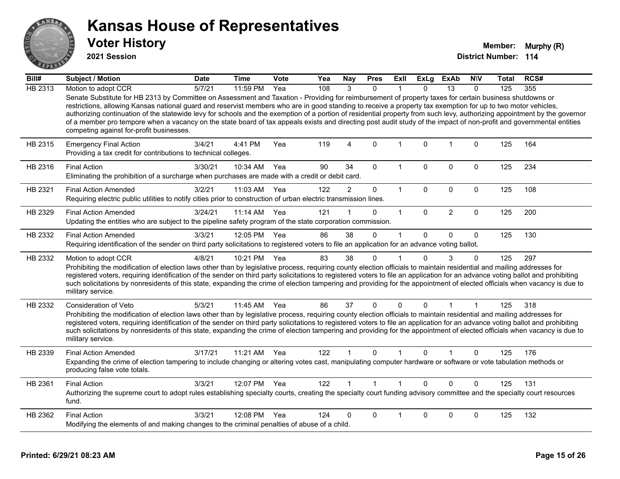

**2021 Session**

| Bill#   | Subject / Motion                                                                                                                                                                                                                                                                                                                                                                                                                                                                                                                                                                                                                                                                                                          | <b>Date</b> | <b>Time</b>  | Vote | Yea | Nay            | <b>Pres</b>    | ExII                 | <b>ExLg</b>  | ExAb           | <b>NIV</b>   | Total | RCS# |
|---------|---------------------------------------------------------------------------------------------------------------------------------------------------------------------------------------------------------------------------------------------------------------------------------------------------------------------------------------------------------------------------------------------------------------------------------------------------------------------------------------------------------------------------------------------------------------------------------------------------------------------------------------------------------------------------------------------------------------------------|-------------|--------------|------|-----|----------------|----------------|----------------------|--------------|----------------|--------------|-------|------|
| HB 2313 | Motion to adopt CCR                                                                                                                                                                                                                                                                                                                                                                                                                                                                                                                                                                                                                                                                                                       | 5/7/21      | $11:59$ PM   | Yea  | 108 | $\mathcal{R}$  | $\Omega$       |                      | $\Omega$     | 13             | $\Omega$     | 125   | 355  |
|         | Senate Substitute for HB 2313 by Committee on Assessment and Taxation - Providing for reimbursement of property taxes for certain business shutdowns or<br>restrictions, allowing Kansas national guard and reservist members who are in good standing to receive a property tax exemption for up to two motor vehicles,<br>authorizing continuation of the statewide levy for schools and the exemption of a portion of residential property from such levy, authorizing appointment by the governor<br>of a member pro tempore when a vacancy on the state board of tax appeals exists and directing post audit study of the impact of non-profit and governmental entities<br>competing against for-profit businesses. |             |              |      |     |                |                |                      |              |                |              |       |      |
| HB 2315 | <b>Emergency Final Action</b><br>Providing a tax credit for contributions to technical colleges.                                                                                                                                                                                                                                                                                                                                                                                                                                                                                                                                                                                                                          | 3/4/21      | 4:41 PM      | Yea  | 119 | $\overline{4}$ | $\mathbf{0}$   | 1                    | $\Omega$     | 1              | 0            | 125   | 164  |
| HB 2316 | <b>Final Action</b><br>Eliminating the prohibition of a surcharge when purchases are made with a credit or debit card.                                                                                                                                                                                                                                                                                                                                                                                                                                                                                                                                                                                                    | 3/30/21     | 10:34 AM     | Yea  | 90  | 34             | $\Omega$       | $\mathbf 1$          | $\Omega$     | 0              | 0            | 125   | 234  |
| HB 2321 | <b>Final Action Amended</b><br>Requiring electric public utilities to notify cities prior to construction of urban electric transmission lines.                                                                                                                                                                                                                                                                                                                                                                                                                                                                                                                                                                           | 3/2/21      | 11:03 AM     | Yea  | 122 | $\overline{2}$ | $\mathbf 0$    | $\mathbf{1}$         | 0            | $\pmb{0}$      | 0            | 125   | 108  |
| HB 2329 | <b>Final Action Amended</b><br>Updating the entities who are subject to the pipeline safety program of the state corporation commission.                                                                                                                                                                                                                                                                                                                                                                                                                                                                                                                                                                                  | 3/24/21     | $11:14$ AM   | Yea  | 121 |                | $\Omega$       | $\mathbf{1}$         | $\mathbf{0}$ | $\overline{2}$ | $\mathbf 0$  | 125   | 200  |
| HB 2332 | <b>Final Action Amended</b><br>Requiring identification of the sender on third party solicitations to registered voters to file an application for an advance voting ballot.                                                                                                                                                                                                                                                                                                                                                                                                                                                                                                                                              | 3/3/21      | 12:05 PM     | Yea  | 86  | 38             | $\Omega$       | $\mathbf 1$          | $\Omega$     | $\Omega$       | $\mathbf{0}$ | 125   | 130  |
| HB 2332 | Motion to adopt CCR<br>Prohibiting the modification of election laws other than by legislative process, requiring county election officials to maintain residential and mailing addresses for<br>registered voters, requiring identification of the sender on third party solicitations to registered voters to file an application for an advance voting ballot and prohibiting<br>such solicitations by nonresidents of this state, expanding the crime of election tampering and providing for the appointment of elected officials when vacancy is due to<br>military service.                                                                                                                                        | 4/8/21      | 10:21 PM     | Yea  | 83  | 38             | 0              |                      | $\Omega$     | 3              | $\Omega$     | 125   | 297  |
| HB 2332 | Consideration of Veto<br>Prohibiting the modification of election laws other than by legislative process, requiring county election officials to maintain residential and mailing addresses for<br>registered voters, requiring identification of the sender on third party solicitations to registered voters to file an application for an advance voting ballot and prohibiting<br>such solicitations by nonresidents of this state, expanding the crime of election tampering and providing for the appointment of elected officials when vacancy is due to<br>military service.                                                                                                                                      | 5/3/21      | 11:45 AM     | Yea  | 86  | 37             | 0              | 0                    | $\Omega$     | 1              |              | 125   | 318  |
| HB 2339 | <b>Final Action Amended</b><br>Expanding the crime of election tampering to include changing or altering votes cast, manipulating computer hardware or software or vote tabulation methods or<br>producing false vote totals.                                                                                                                                                                                                                                                                                                                                                                                                                                                                                             | 3/17/21     | 11:21 AM     | Yea  | 122 |                | $\Omega$       | 1                    | $\mathbf{0}$ |                | 0            | 125   | 176  |
| HB 2361 | <b>Final Action</b><br>Authorizing the supreme court to adopt rules establishing specialty courts, creating the specialty court funding advisory committee and the specialty court resources<br>fund.                                                                                                                                                                                                                                                                                                                                                                                                                                                                                                                     | 3/3/21      | 12:07 PM Yea |      | 122 |                | $\overline{1}$ | $\blacktriangleleft$ | $\Omega$     | $\Omega$       | $\Omega$     | 125   | 131  |
| HB 2362 | <b>Final Action</b><br>Modifying the elements of and making changes to the criminal penalties of abuse of a child.                                                                                                                                                                                                                                                                                                                                                                                                                                                                                                                                                                                                        | 3/3/21      | 12:08 PM     | Yea  | 124 | 0              | 0              |                      | 0            | 0              | 0            | 125   | 132  |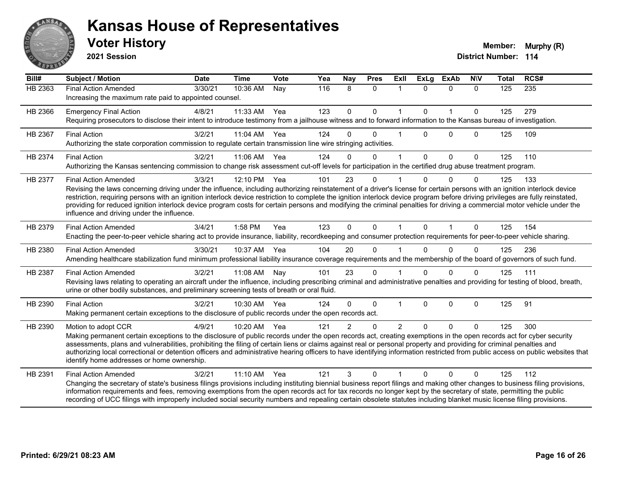

**2021 Session**

| Bill#   | <b>Subject / Motion</b>                                                                                                                                                                                                                                                                                                                                                                                                                                                                                                                                                                                             | <b>Date</b> | <b>Time</b> | <b>Vote</b> | Yea | Nay            | <b>Pres</b>  | ExIl           | <b>ExLg</b>  | <b>ExAb</b>    | <b>NIV</b>   | <b>Total</b> | RCS# |
|---------|---------------------------------------------------------------------------------------------------------------------------------------------------------------------------------------------------------------------------------------------------------------------------------------------------------------------------------------------------------------------------------------------------------------------------------------------------------------------------------------------------------------------------------------------------------------------------------------------------------------------|-------------|-------------|-------------|-----|----------------|--------------|----------------|--------------|----------------|--------------|--------------|------|
| HB 2363 | <b>Final Action Amended</b><br>Increasing the maximum rate paid to appointed counsel.                                                                                                                                                                                                                                                                                                                                                                                                                                                                                                                               | 3/30/21     | 10:36 AM    | Nay         | 116 | 8              | $\mathbf{0}$ | -1             | $\Omega$     | $\mathbf{0}$   | $\Omega$     | 125          | 235  |
| HB 2366 | <b>Emergency Final Action</b><br>Requiring prosecutors to disclose their intent to introduce testimony from a jailhouse witness and to forward information to the Kansas bureau of investigation.                                                                                                                                                                                                                                                                                                                                                                                                                   | 4/8/21      | 11:33 AM    | Yea         | 123 | $\mathbf 0$    | $\mathbf{0}$ | $\mathbf{1}$   | $\Omega$     | $\overline{1}$ | $\mathbf{0}$ | 125          | 279  |
| HB 2367 | <b>Final Action</b><br>Authorizing the state corporation commission to regulate certain transmission line wire stringing activities.                                                                                                                                                                                                                                                                                                                                                                                                                                                                                | 3/2/21      | 11:04 AM    | Yea         | 124 | 0              | $\Omega$     |                | $\Omega$     | $\Omega$       | $\Omega$     | 125          | 109  |
| HB 2374 | <b>Final Action</b><br>Authorizing the Kansas sentencing commission to change risk assessment cut-off levels for participation in the certified drug abuse treatment program.                                                                                                                                                                                                                                                                                                                                                                                                                                       | 3/2/21      | 11:06 AM    | Yea         | 124 | $\Omega$       | $\Omega$     | $\overline{1}$ | $\Omega$     | $\Omega$       | $\mathbf{0}$ | 125          | 110  |
| HB 2377 | <b>Final Action Amended</b><br>Revising the laws concerning driving under the influence, including authorizing reinstatement of a driver's license for certain persons with an ignition interlock device<br>restriction, requiring persons with an ignition interlock device restriction to complete the ignition interlock device program before driving privileges are fully reinstated,<br>providing for reduced ignition interlock device program costs for certain persons and modifying the criminal penalties for driving a commercial motor vehicle under the<br>influence and driving under the influence. | 3/3/21      | 12:10 PM    | Yea         | 101 | 23             | $\Omega$     |                |              | $\Omega$       | $\Omega$     | 125          | 133  |
| HB 2379 | <b>Final Action Amended</b><br>Enacting the peer-to-peer vehicle sharing act to provide insurance, liability, recordkeeping and consumer protection requirements for peer-to-peer vehicle sharing.                                                                                                                                                                                                                                                                                                                                                                                                                  | 3/4/21      | 1:58 PM     | Yea         | 123 | $\Omega$       | $\Omega$     | 1              | $\Omega$     | $\mathbf{1}$   | $\Omega$     | 125          | 154  |
| HB 2380 | <b>Final Action Amended</b><br>Amending healthcare stabilization fund minimum professional liability insurance coverage requirements and the membership of the board of governors of such fund.                                                                                                                                                                                                                                                                                                                                                                                                                     | 3/30/21     | 10:37 AM    | Yea         | 104 | 20             | $\Omega$     |                |              | $\Omega$       | $\Omega$     | 125          | 236  |
| HB 2387 | <b>Final Action Amended</b><br>Revising laws relating to operating an aircraft under the influence, including prescribing criminal and administrative penalties and providing for testing of blood, breath,<br>urine or other bodily substances, and preliminary screening tests of breath or oral fluid.                                                                                                                                                                                                                                                                                                           | 3/2/21      | 11:08 AM    | Nay         | 101 | 23             | $\mathbf{0}$ |                | $\Omega$     | $\Omega$       | $\Omega$     | 125          | 111  |
| HB 2390 | <b>Final Action</b><br>Making permanent certain exceptions to the disclosure of public records under the open records act.                                                                                                                                                                                                                                                                                                                                                                                                                                                                                          | 3/2/21      | 10:30 AM    | Yea         | 124 | $\Omega$       | $\mathbf 0$  | 1              | $\mathbf{0}$ | $\mathbf 0$    | $\Omega$     | 125          | 91   |
| HB 2390 | Motion to adopt CCR<br>Making permanent certain exceptions to the disclosure of public records under the open records act, creating exemptions in the open records act for cyber security<br>assessments, plans and vulnerabilities, prohibiting the filing of certain liens or claims against real or personal property and providing for criminal penalties and<br>authorizing local correctional or detention officers and administrative hearing officers to have identifying information restricted from public access on public websites that<br>identify home addresses or home ownership.                   | 4/9/21      | 10:20 AM    | Yea         | 121 | $\overline{2}$ | $\Omega$     | $\overline{2}$ | $\Omega$     | $\Omega$       | $\mathbf{0}$ | 125          | 300  |
| HB 2391 | <b>Final Action Amended</b><br>Changing the secretary of state's business filings provisions including instituting biennial business report filings and making other changes to business filing provisions,<br>information requirements and fees, removing exemptions from the open records act for tax records no longer kept by the secretary of state, permitting the public<br>recording of UCC filings with improperly included social security numbers and repealing certain obsolete statutes including blanket music license filing provisions.                                                             | 3/2/21      | 11:10 AM    | Yea         | 121 | 3              | $\Omega$     |                | $\Omega$     | $\Omega$       | $\Omega$     | 125          | 112  |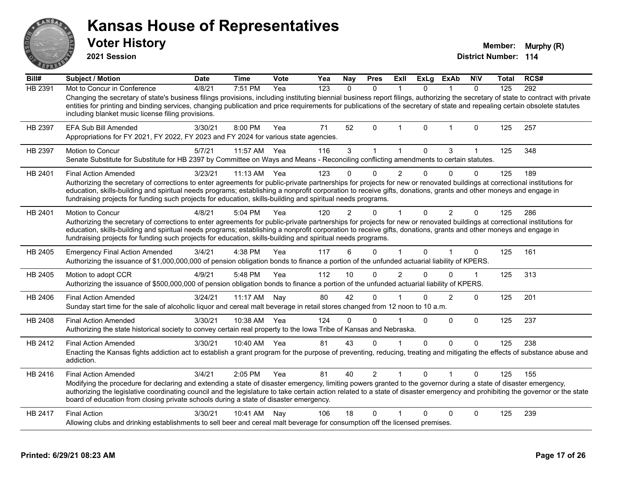**2021 Session**

**Voter History Multiple 10 and 10 and 10 and 10 and 10 and 10 and 10 and 10 and 10 and 10 and 10 and 10 and 10 and 10 and 10 and 10 and 10 and 10 and 10 and 10 and 10 and 10 and 10 and 10 and 10 and 10 and 10 and 10 and** 

| Bill#   | <b>Subject / Motion</b>                                                                                                                                                                                                                                                                                                                                                                                                                                      | <b>Date</b> | <b>Time</b>  | <b>Vote</b> | Yea | <b>Nay</b>     | <b>Pres</b>  | Exll           | ExLg     | <b>ExAb</b>    | <b>NIV</b>   | <b>Total</b> | RCS# |
|---------|--------------------------------------------------------------------------------------------------------------------------------------------------------------------------------------------------------------------------------------------------------------------------------------------------------------------------------------------------------------------------------------------------------------------------------------------------------------|-------------|--------------|-------------|-----|----------------|--------------|----------------|----------|----------------|--------------|--------------|------|
| HB 2391 | Mot to Concur in Conference                                                                                                                                                                                                                                                                                                                                                                                                                                  | 4/8/21      | 7:51 PM      | Yea         | 123 | $\Omega$       | $\mathbf{0}$ |                | $\Omega$ |                | $\mathbf{0}$ | 125          | 292  |
|         | Changing the secretary of state's business filings provisions, including instituting biennial business report filings, authorizing the secretary of state to contract with private<br>entities for printing and binding services, changing publication and price requirements for publications of the secretary of state and repealing certain obsolete statutes<br>including blanket music license filing provisions.                                       |             |              |             |     |                |              |                |          |                |              |              |      |
| HB 2397 | EFA Sub Bill Amended<br>Appropriations for FY 2021, FY 2022, FY 2023 and FY 2024 for various state agencies.                                                                                                                                                                                                                                                                                                                                                 | 3/30/21     | 8:00 PM      | Yea         | 71  | 52             | $\mathbf{0}$ | -1             | $\Omega$ | $\mathbf 1$    | $\mathbf 0$  | 125          | 257  |
| HB 2397 | Motion to Concur<br>Senate Substitute for Substitute for HB 2397 by Committee on Ways and Means - Reconciling conflicting amendments to certain statutes.                                                                                                                                                                                                                                                                                                    | 5/7/21      | 11:57 AM     | Yea         | 116 | 3              |              |                | 0        | 3              |              | 125          | 348  |
| HB 2401 | <b>Final Action Amended</b>                                                                                                                                                                                                                                                                                                                                                                                                                                  | 3/23/21     | 11:13 AM     | Yea         | 123 |                | $\Omega$     | $\overline{2}$ | $\Omega$ | $\Omega$       | $\mathbf{0}$ | 125          | 189  |
|         | Authorizing the secretary of corrections to enter agreements for public-private partnerships for projects for new or renovated buildings at correctional institutions for<br>education, skills-building and spiritual needs programs; establishing a nonprofit corporation to receive gifts, donations, grants and other moneys and engage in<br>fundraising projects for funding such projects for education, skills-building and spiritual needs programs. |             |              |             |     |                |              |                |          |                |              |              |      |
| HB 2401 | Motion to Concur                                                                                                                                                                                                                                                                                                                                                                                                                                             | 4/8/21      | 5:04 PM      | Yea         | 120 | $\overline{2}$ | 0            |                | 0        | $\overline{2}$ | 0            | 125          | 286  |
|         | Authorizing the secretary of corrections to enter agreements for public-private partnerships for projects for new or renovated buildings at correctional institutions for<br>education, skills-building and spiritual needs programs; establishing a nonprofit corporation to receive gifts, donations, grants and other moneys and engage in<br>fundraising projects for funding such projects for education, skills-building and spiritual needs programs. |             |              |             |     |                |              |                |          |                |              |              |      |
| HB 2405 | <b>Emergency Final Action Amended</b><br>Authorizing the issuance of \$1,000,000,000 of pension obligation bonds to finance a portion of the unfunded actuarial liability of KPERS.                                                                                                                                                                                                                                                                          | 3/4/21      | 4:38 PM      | Yea         | 117 | 6              | $\Omega$     |                | $\Omega$ |                | $\Omega$     | 125          | 161  |
| HB 2405 | Motion to adopt CCR<br>Authorizing the issuance of \$500,000,000 of pension obligation bonds to finance a portion of the unfunded actuarial liability of KPERS.                                                                                                                                                                                                                                                                                              | 4/9/21      | 5:48 PM      | Yea         | 112 | 10             | $\mathbf{0}$ | 2              | 0        | 0              | $\mathbf{1}$ | 125          | 313  |
| HB 2406 | <b>Final Action Amended</b><br>Sunday start time for the sale of alcoholic liquor and cereal malt beverage in retail stores changed from 12 noon to 10 a.m.                                                                                                                                                                                                                                                                                                  | 3/24/21     | 11:17 AM     | Nay         | 80  | 42             | $\Omega$     |                | 0        | $\mathcal{P}$  | $\Omega$     | 125          | 201  |
| HB 2408 | <b>Final Action Amended</b><br>Authorizing the state historical society to convey certain real property to the Iowa Tribe of Kansas and Nebraska.                                                                                                                                                                                                                                                                                                            | 3/30/21     | 10:38 AM     | Yea         | 124 | $\Omega$       | $\Omega$     |                | $\Omega$ | $\Omega$       | $\mathbf 0$  | 125          | 237  |
| HB 2412 | <b>Final Action Amended</b>                                                                                                                                                                                                                                                                                                                                                                                                                                  | 3/30/21     | 10:40 AM Yea |             | 81  | 43             | $\Omega$     |                | $\Omega$ | $\Omega$       | $\Omega$     | 125          | 238  |
|         | Enacting the Kansas fights addiction act to establish a grant program for the purpose of preventing, reducing, treating and mitigating the effects of substance abuse and<br>addiction.                                                                                                                                                                                                                                                                      |             |              |             |     |                |              |                |          |                |              |              |      |
| HB 2416 | <b>Final Action Amended</b>                                                                                                                                                                                                                                                                                                                                                                                                                                  | 3/4/21      | 2:05 PM      | Yea         | 81  | 40             | 2            |                | $\Omega$ |                | $\Omega$     | 125          | 155  |
|         | Modifying the procedure for declaring and extending a state of disaster emergency, limiting powers granted to the governor during a state of disaster emergency,<br>authorizing the legislative coordinating council and the legislature to take certain action related to a state of disaster emergency and prohibiting the governor or the state<br>board of education from closing private schools during a state of disaster emergency.                  |             |              |             |     |                |              |                |          |                |              |              |      |
| HB 2417 | <b>Final Action</b>                                                                                                                                                                                                                                                                                                                                                                                                                                          | 3/30/21     | 10:41 AM     | Nay         | 106 | 18             | $\Omega$     |                | 0        | $\mathbf{0}$   | $\mathbf{0}$ | 125          | 239  |
|         | Allowing clubs and drinking establishments to sell beer and cereal malt beverage for consumption off the licensed premises.                                                                                                                                                                                                                                                                                                                                  |             |              |             |     |                |              |                |          |                |              |              |      |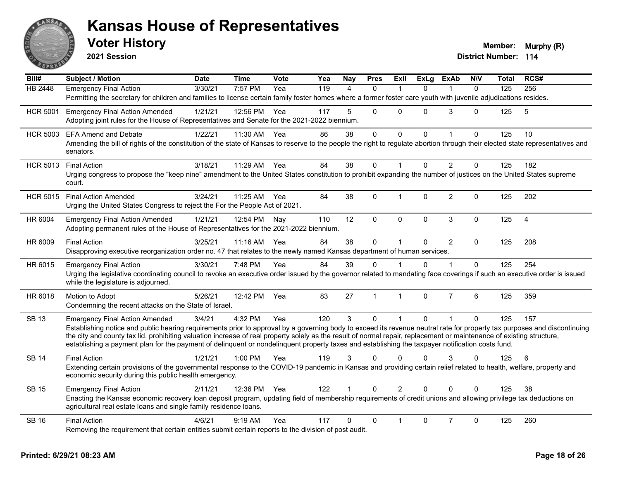

| $\overline{Bill#}$ | Subject / Motion                                                                                                                                                                                                                                                                                                                                                                                                                                                                                                                               | <b>Date</b> | <b>Time</b> | Vote | Yea | Nay                  | <b>Pres</b>  | Exll           | <b>ExLg</b>  | <b>ExAb</b>    | <b>N\V</b>   | <b>Total</b> | RCS#           |
|--------------------|------------------------------------------------------------------------------------------------------------------------------------------------------------------------------------------------------------------------------------------------------------------------------------------------------------------------------------------------------------------------------------------------------------------------------------------------------------------------------------------------------------------------------------------------|-------------|-------------|------|-----|----------------------|--------------|----------------|--------------|----------------|--------------|--------------|----------------|
| <b>HB 2448</b>     | <b>Emergency Final Action</b><br>Permitting the secretary for children and families to license certain family foster homes where a former foster care youth with juvenile adjudications resides.                                                                                                                                                                                                                                                                                                                                               | 3/30/21     | 7:57 PM     | Yea  | 119 | 4                    | $\Omega$     | -1             | 0            | 1              | $\Omega$     | 125          | 256            |
| <b>HCR 5001</b>    | <b>Emergency Final Action Amended</b><br>Adopting joint rules for the House of Representatives and Senate for the 2021-2022 biennium.                                                                                                                                                                                                                                                                                                                                                                                                          | 1/21/21     | 12:56 PM    | Yea  | 117 | 5                    | $\Omega$     | $\Omega$       | $\Omega$     | 3              | $\Omega$     | 125          | 5              |
| <b>HCR 5003</b>    | <b>EFA Amend and Debate</b><br>Amending the bill of rights of the constitution of the state of Kansas to reserve to the people the right to regulate abortion through their elected state representatives and<br>senators.                                                                                                                                                                                                                                                                                                                     | 1/22/21     | 11:30 AM    | Yea  | 86  | 38                   | $\mathbf 0$  | $\mathbf 0$    | 0            | $\mathbf{1}$   | $\mathbf 0$  | 125          | 10             |
| <b>HCR 5013</b>    | <b>Final Action</b><br>Urging congress to propose the "keep nine" amendment to the United States constitution to prohibit expanding the number of justices on the United States supreme<br>court.                                                                                                                                                                                                                                                                                                                                              | 3/18/21     | 11:29 AM    | Yea  | 84  | 38                   | 0            |                | $\Omega$     | $\overline{2}$ | $\mathbf 0$  | 125          | 182            |
| <b>HCR 5015</b>    | <b>Final Action Amended</b><br>Urging the United States Congress to reject the For the People Act of 2021.                                                                                                                                                                                                                                                                                                                                                                                                                                     | 3/24/21     | 11:25 AM    | Yea  | 84  | 38                   | $\mathbf 0$  | $\overline{1}$ | 0            | $\overline{2}$ | $\mathbf 0$  | 125          | 202            |
| HR 6004            | <b>Emergency Final Action Amended</b><br>Adopting permanent rules of the House of Representatives for the 2021-2022 biennium.                                                                                                                                                                                                                                                                                                                                                                                                                  | 1/21/21     | 12:54 PM    | Nay  | 110 | 12                   | 0            | $\mathbf{0}$   | 0            | 3              | $\mathbf 0$  | 125          | $\overline{4}$ |
| HR 6009            | <b>Final Action</b><br>Disapproving executive reorganization order no. 47 that relates to the newly named Kansas department of human services.                                                                                                                                                                                                                                                                                                                                                                                                 | 3/25/21     | 11:16 AM    | Yea  | 84  | 38                   | $\Omega$     | $\overline{1}$ | $\Omega$     | $\overline{2}$ | $\Omega$     | 125          | 208            |
| HR 6015            | <b>Emergency Final Action</b><br>Urging the legislative coordinating council to revoke an executive order issued by the governor related to mandating face coverings if such an executive order is issued<br>while the legislature is adjourned.                                                                                                                                                                                                                                                                                               | 3/30/21     | 7:48 PM     | Yea  | 84  | 39                   | $\Omega$     |                | $\mathbf{0}$ |                | $\mathbf{0}$ | 125          | 254            |
| HR 6018            | Motion to Adopt<br>Condemning the recent attacks on the State of Israel.                                                                                                                                                                                                                                                                                                                                                                                                                                                                       | 5/26/21     | 12:42 PM    | Yea  | 83  | 27                   | $\mathbf{1}$ | $\overline{1}$ | 0            | $\overline{7}$ | 6            | 125          | 359            |
| <b>SB 13</b>       | <b>Emergency Final Action Amended</b><br>Establishing notice and public hearing requirements prior to approval by a governing body to exceed its revenue neutral rate for property tax purposes and discontinuing<br>the city and county tax lid, prohibiting valuation increase of real property solely as the result of normal repair, replacement or maintenance of existing structure,<br>establishing a payment plan for the payment of delinquent or nondelinquent property taxes and establishing the taxpayer notification costs fund. | 3/4/21      | 4:32 PM     | Yea  | 120 | 3                    | $\Omega$     | $\mathbf{1}$   | $\Omega$     | $\mathbf{1}$   | $\mathbf{0}$ | 125          | 157            |
| <b>SB 14</b>       | <b>Final Action</b><br>Extending certain provisions of the governmental response to the COVID-19 pandemic in Kansas and providing certain relief related to health, welfare, property and<br>economic security during this public health emergency.                                                                                                                                                                                                                                                                                            | 1/21/21     | 1:00 PM     | Yea  | 119 | 3                    | $\Omega$     | $\Omega$       | $\Omega$     | 3              | $\Omega$     | 125          | 6              |
| <b>SB 15</b>       | <b>Emergency Final Action</b><br>Enacting the Kansas economic recovery loan deposit program, updating field of membership requirements of credit unions and allowing privilege tax deductions on<br>agricultural real estate loans and single family residence loans.                                                                                                                                                                                                                                                                          | 2/11/21     | 12:36 PM    | Yea  | 122 | $\blacktriangleleft$ | $\Omega$     | $\overline{2}$ | $\Omega$     | $\Omega$       | $\Omega$     | 125          | 38             |
| <b>SB 16</b>       | <b>Final Action</b><br>Removing the requirement that certain entities submit certain reports to the division of post audit.                                                                                                                                                                                                                                                                                                                                                                                                                    | 4/6/21      | $9:19$ AM   | Yea  | 117 | $\mathbf{0}$         | $\mathbf 0$  | $\mathbf{1}$   | 0            | $\overline{7}$ | $\mathbf 0$  | 125          | 260            |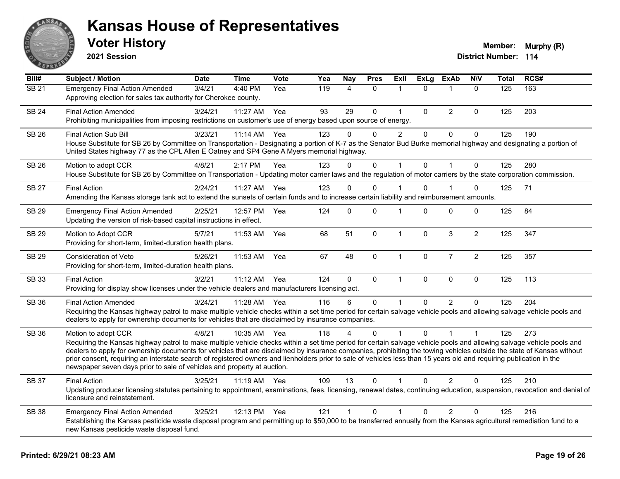

**2021 Session**

| Bill#             | <b>Subject / Motion</b>                                                                                                                                                                                                                                                                                                                                                                                                                                                                                                                                                                                                  | <b>Date</b> | <b>Time</b> | Vote | Yea | <b>Nay</b>     | <b>Pres</b> | Exll           | <b>ExLg</b> | <b>ExAb</b>    | <b>NIV</b>     | <b>Total</b> | RCS# |
|-------------------|--------------------------------------------------------------------------------------------------------------------------------------------------------------------------------------------------------------------------------------------------------------------------------------------------------------------------------------------------------------------------------------------------------------------------------------------------------------------------------------------------------------------------------------------------------------------------------------------------------------------------|-------------|-------------|------|-----|----------------|-------------|----------------|-------------|----------------|----------------|--------------|------|
| $\overline{SB21}$ | <b>Emergency Final Action Amended</b><br>Approving election for sales tax authority for Cherokee county.                                                                                                                                                                                                                                                                                                                                                                                                                                                                                                                 | 3/4/21      | 4:40 PM     | Yea  | 119 | $\overline{4}$ | $\Omega$    | 1              | $\Omega$    | 1              | $\mathbf{0}$   | 125          | 163  |
| <b>SB 24</b>      | <b>Final Action Amended</b><br>Prohibiting municipalities from imposing restrictions on customer's use of energy based upon source of energy.                                                                                                                                                                                                                                                                                                                                                                                                                                                                            | 3/24/21     | 11:27 AM    | Yea  | 93  | 29             | $\Omega$    | $\mathbf{1}$   | $\Omega$    | $\overline{2}$ | $\Omega$       | 125          | 203  |
| <b>SB 26</b>      | Final Action Sub Bill<br>House Substitute for SB 26 by Committee on Transportation - Designating a portion of K-7 as the Senator Bud Burke memorial highway and designating a portion of<br>United States highway 77 as the CPL Allen E Oatney and SP4 Gene A Myers memorial highway.                                                                                                                                                                                                                                                                                                                                    | 3/23/21     | 11:14 AM    | Yea  | 123 | $\Omega$       | 0           | $\overline{2}$ | $\mathbf 0$ | $\pmb{0}$      | $\mathbf 0$    | 125          | 190  |
| SB 26             | Motion to adopt CCR<br>House Substitute for SB 26 by Committee on Transportation - Updating motor carrier laws and the regulation of motor carriers by the state corporation commission.                                                                                                                                                                                                                                                                                                                                                                                                                                 | 4/8/21      | 2:17 PM     | Yea  | 123 | $\Omega$       | $\Omega$    | $\mathbf{1}$   | $\Omega$    | $\overline{1}$ | $\Omega$       | 125          | 280  |
| <b>SB 27</b>      | <b>Final Action</b><br>Amending the Kansas storage tank act to extend the sunsets of certain funds and to increase certain liability and reimbursement amounts.                                                                                                                                                                                                                                                                                                                                                                                                                                                          | 2/24/21     | 11:27 AM    | Yea  | 123 | $\Omega$       | $\Omega$    | 1              | $\Omega$    |                | $\Omega$       | 125          | 71   |
| SB 29             | <b>Emergency Final Action Amended</b><br>Updating the version of risk-based capital instructions in effect.                                                                                                                                                                                                                                                                                                                                                                                                                                                                                                              | 2/25/21     | 12:57 PM    | Yea  | 124 | $\Omega$       | 0           | 1              | $\Omega$    | $\mathbf 0$    | 0              | 125          | 84   |
| <b>SB 29</b>      | Motion to Adopt CCR<br>Providing for short-term, limited-duration health plans.                                                                                                                                                                                                                                                                                                                                                                                                                                                                                                                                          | 5/7/21      | 11:53 AM    | Yea  | 68  | 51             | $\Omega$    | $\mathbf{1}$   | $\Omega$    | $\mathbf{3}$   | $\overline{2}$ | 125          | 347  |
| <b>SB 29</b>      | Consideration of Veto<br>Providing for short-term, limited-duration health plans.                                                                                                                                                                                                                                                                                                                                                                                                                                                                                                                                        | 5/26/21     | 11:53 AM    | Yea  | 67  | 48             | $\mathbf 0$ | $\mathbf{1}$   | $\mathbf 0$ | $\overline{7}$ | $\overline{2}$ | 125          | 357  |
| SB 33             | <b>Final Action</b><br>Providing for display show licenses under the vehicle dealers and manufacturers licensing act.                                                                                                                                                                                                                                                                                                                                                                                                                                                                                                    | 3/2/21      | 11:12 AM    | Yea  | 124 | 0              | $\mathbf 0$ | $\mathbf{1}$   | $\mathbf 0$ | $\pmb{0}$      | $\pmb{0}$      | 125          | 113  |
| SB 36             | <b>Final Action Amended</b><br>Requiring the Kansas highway patrol to make multiple vehicle checks within a set time period for certain salvage vehicle pools and allowing salvage vehicle pools and<br>dealers to apply for ownership documents for vehicles that are disclaimed by insurance companies.                                                                                                                                                                                                                                                                                                                | 3/24/21     | 11:28 AM    | Yea  | 116 | 6              | $\Omega$    | 1              | 0           | $\mathcal{P}$  | $\Omega$       | 125          | 204  |
| SB 36             | Motion to adopt CCR<br>Requiring the Kansas highway patrol to make multiple vehicle checks within a set time period for certain salvage vehicle pools and allowing salvage vehicle pools and<br>dealers to apply for ownership documents for vehicles that are disclaimed by insurance companies, prohibiting the towing vehicles outside the state of Kansas without<br>prior consent, requiring an interstate search of registered owners and lienholders prior to sale of vehicles less than 15 years old and requiring publication in the<br>newspaper seven days prior to sale of vehicles and property at auction. | 4/8/21      | 10:35 AM    | Yea  | 118 |                | $\Omega$    |                | $\Omega$    |                | 1              | 125          | 273  |
| SB 37             | <b>Final Action</b><br>Updating producer licensing statutes pertaining to appointment, examinations, fees, licensing, renewal dates, continuing education, suspension, revocation and denial of<br>licensure and reinstatement.                                                                                                                                                                                                                                                                                                                                                                                          | 3/25/21     | 11:19 AM    | Yea  | 109 | 13             | $\Omega$    | 1              | 0           | $\overline{2}$ | $\Omega$       | 125          | 210  |
| <b>SB 38</b>      | <b>Emergency Final Action Amended</b><br>Establishing the Kansas pesticide waste disposal program and permitting up to \$50,000 to be transferred annually from the Kansas agricultural remediation fund to a<br>new Kansas pesticide waste disposal fund.                                                                                                                                                                                                                                                                                                                                                               | 3/25/21     | 12:13 PM    | Yea  | 121 | $\mathbf{1}$   | $\mathbf 0$ | 1              | $\Omega$    | $\overline{2}$ | $\Omega$       | 125          | 216  |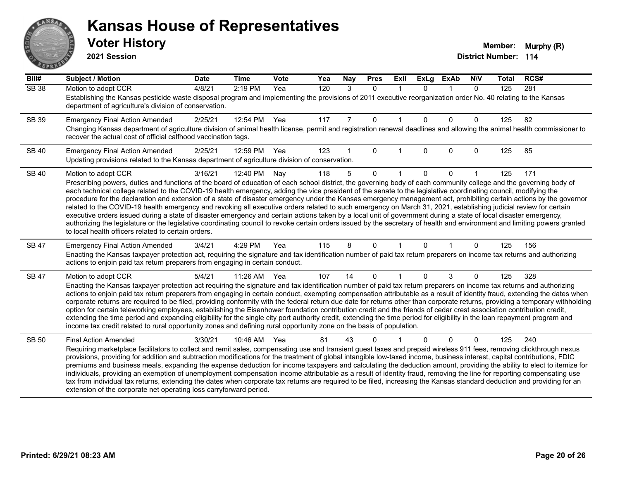# AN **PIVE**

#### **Kansas House of Representatives**

| Bill#        | Subject / Motion                                                                                                                                                                                                                                                                                                                                                                                                                                                                                                                                                                                                                                                                                                                                                                                                                                                                                                                                                                                                                                                                                                 | <b>Date</b> | <b>Time</b> | <b>Vote</b> | Yea | <b>Nay</b>     | <b>Pres</b>  | ExII         | <b>ExLg</b> | <b>ExAb</b>  | <b>NIV</b>   | Total | RCS# |  |
|--------------|------------------------------------------------------------------------------------------------------------------------------------------------------------------------------------------------------------------------------------------------------------------------------------------------------------------------------------------------------------------------------------------------------------------------------------------------------------------------------------------------------------------------------------------------------------------------------------------------------------------------------------------------------------------------------------------------------------------------------------------------------------------------------------------------------------------------------------------------------------------------------------------------------------------------------------------------------------------------------------------------------------------------------------------------------------------------------------------------------------------|-------------|-------------|-------------|-----|----------------|--------------|--------------|-------------|--------------|--------------|-------|------|--|
| <b>SB 38</b> | Motion to adopt CCR<br>Establishing the Kansas pesticide waste disposal program and implementing the provisions of 2011 executive reorganization order No. 40 relating to the Kansas<br>department of agriculture's division of conservation.                                                                                                                                                                                                                                                                                                                                                                                                                                                                                                                                                                                                                                                                                                                                                                                                                                                                    | 4/8/21      | 2:19 PM     | Yea         | 120 | 3              | $\Omega$     | $\mathbf{1}$ | $\Omega$    | $\mathbf{1}$ | $\Omega$     | 125   | 281  |  |
| SB 39        | <b>Emergency Final Action Amended</b><br>Changing Kansas department of agriculture division of animal health license, permit and registration renewal deadlines and allowing the animal health commissioner to<br>recover the actual cost of official calfhood vaccination tags.                                                                                                                                                                                                                                                                                                                                                                                                                                                                                                                                                                                                                                                                                                                                                                                                                                 | 2/25/21     | 12:54 PM    | Yea         | 117 | $\overline{7}$ | $\mathbf 0$  |              | $\Omega$    | $\mathbf{0}$ | $\mathbf{0}$ | 125   | 82   |  |
| <b>SB 40</b> | <b>Emergency Final Action Amended</b><br>Updating provisions related to the Kansas department of agriculture division of conservation.                                                                                                                                                                                                                                                                                                                                                                                                                                                                                                                                                                                                                                                                                                                                                                                                                                                                                                                                                                           | 2/25/21     | 12:59 PM    | Yea         | 123 |                | $\mathbf{0}$ |              | $\Omega$    | $\mathbf{0}$ | $\mathbf{0}$ | 125   | 85   |  |
| <b>SB 40</b> | Motion to adopt CCR<br>Prescribing powers, duties and functions of the board of education of each school district, the governing body of each community college and the governing body of<br>each technical college related to the COVID-19 health emergency, adding the vice president of the senate to the legislative coordinating council, modifying the<br>procedure for the declaration and extension of a state of disaster emergency under the Kansas emergency management act, prohibiting certain actions by the governor<br>related to the COVID-19 health emergency and revoking all executive orders related to such emergency on March 31, 2021, establishing judicial review for certain<br>executive orders issued during a state of disaster emergency and certain actions taken by a local unit of government during a state of local disaster emergency,<br>authorizing the legislature or the legislative coordinating council to revoke certain orders issued by the secretary of health and environment and limiting powers granted<br>to local health officers related to certain orders. | 3/16/21     | 12:40 PM    | Nay         | 118 | 5              | $\Omega$     |              | 0           | $\mathbf{0}$ |              | 125   | 171  |  |
| <b>SB 47</b> | <b>Emergency Final Action Amended</b><br>Enacting the Kansas taxpayer protection act, requiring the signature and tax identification number of paid tax return preparers on income tax returns and authorizing<br>actions to enjoin paid tax return preparers from engaging in certain conduct.                                                                                                                                                                                                                                                                                                                                                                                                                                                                                                                                                                                                                                                                                                                                                                                                                  | 3/4/21      | 4:29 PM     | Yea         | 115 | 8              | $\Omega$     | $\mathbf{1}$ | $\Omega$    | $\mathbf{1}$ | $\Omega$     | 125   | 156  |  |
| <b>SB 47</b> | Motion to adopt CCR<br>Enacting the Kansas taxpayer protection act requiring the signature and tax identification number of paid tax return preparers on income tax returns and authorizing<br>actions to enjoin paid tax return preparers from engaging in certain conduct, exempting compensation attributable as a result of identity fraud, extending the dates when<br>corporate returns are required to be filed, providing conformity with the federal return due date for returns other than corporate returns, providing a temporary withholding<br>option for certain teleworking employees, establishing the Eisenhower foundation contribution credit and the friends of cedar crest association contribution credit,<br>extending the time period and expanding eligibility for the single city port authority credit, extending the time period for eligibility in the loan repayment program and<br>income tax credit related to rural opportunity zones and defining rural opportunity zone on the basis of population.                                                                          | 5/4/21      | 11:26 AM    | Yea         | 107 | 14             | $\mathbf{0}$ | $\mathbf{1}$ | 0           | 3            | $\mathbf{0}$ | 125   | 328  |  |
| <b>SB 50</b> | <b>Final Action Amended</b><br>Requiring marketplace facilitators to collect and remit sales, compensating use and transient guest taxes and prepaid wireless 911 fees, removing clickthrough nexus<br>provisions, providing for addition and subtraction modifications for the treatment of global intangible low-taxed income, business interest, capital contributions, FDIC<br>premiums and business meals, expanding the expense deduction for income taxpayers and calculating the deduction amount, providing the ability to elect to itemize for<br>individuals, providing an exemption of unemployment compensation income attributable as a result of identity fraud, removing the line for reporting compensating use<br>tax from individual tax returns, extending the dates when corporate tax returns are required to be filed, increasing the Kansas standard deduction and providing for an<br>extension of the corporate net operating loss carryforward period.                                                                                                                                | 3/30/21     | 10:46 AM    | Yea         | 81  | 43             | 0            |              | $\Omega$    | $\mathbf{0}$ | $\mathbf{0}$ | 125   | 240  |  |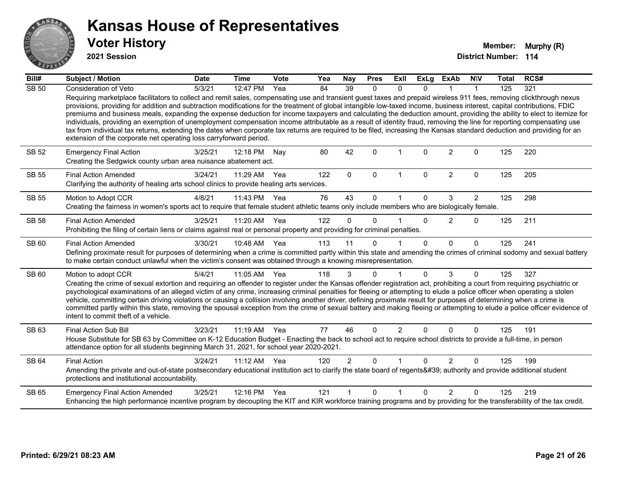

**2021 Session**

| Bill#        | Subject / Motion                                                                                                                                                                                                                                                                                                                                                                                                                                                                                                                                                                                                                                                                                                                                                                                                                                                                                                                                   | <b>Date</b> | <b>Time</b> | <b>Vote</b> | Yea | <b>Nay</b>           | <b>Pres</b>  | Exll           | <b>ExLg</b>  | <b>ExAb</b>    | <b>NIV</b>     | <b>Total</b> | RCS# |
|--------------|----------------------------------------------------------------------------------------------------------------------------------------------------------------------------------------------------------------------------------------------------------------------------------------------------------------------------------------------------------------------------------------------------------------------------------------------------------------------------------------------------------------------------------------------------------------------------------------------------------------------------------------------------------------------------------------------------------------------------------------------------------------------------------------------------------------------------------------------------------------------------------------------------------------------------------------------------|-------------|-------------|-------------|-----|----------------------|--------------|----------------|--------------|----------------|----------------|--------------|------|
| <b>SB 50</b> | Consideration of Veto                                                                                                                                                                                                                                                                                                                                                                                                                                                                                                                                                                                                                                                                                                                                                                                                                                                                                                                              | 5/3/21      | 12:47 PM    | Yea         | 84  | 39                   | $\mathbf{0}$ | 0              | <sup>n</sup> |                |                | 125          | 321  |
|              | Requiring marketplace facilitators to collect and remit sales, compensating use and transient guest taxes and prepaid wireless 911 fees, removing clickthrough nexus<br>provisions, providing for addition and subtraction modifications for the treatment of global intangible low-taxed income, business interest, capital contributions, FDIC<br>premiums and business meals, expanding the expense deduction for income taxpayers and calculating the deduction amount, providing the ability to elect to itemize for<br>individuals, providing an exemption of unemployment compensation income attributable as a result of identity fraud, removing the line for reporting compensating use<br>tax from individual tax returns, extending the dates when corporate tax returns are required to be filed, increasing the Kansas standard deduction and providing for an<br>extension of the corporate net operating loss carryforward period. |             |             |             |     |                      |              |                |              |                |                |              |      |
| <b>SB 52</b> | <b>Emergency Final Action</b><br>Creating the Sedgwick county urban area nuisance abatement act.                                                                                                                                                                                                                                                                                                                                                                                                                                                                                                                                                                                                                                                                                                                                                                                                                                                   | 3/25/21     | 12:18 PM    | Nay         | 80  | 42                   | $\Omega$     | 1              | $\Omega$     | $\overline{2}$ | $\mathbf 0$    | 125          | 220  |
| <b>SB 55</b> | <b>Final Action Amended</b><br>Clarifying the authority of healing arts school clinics to provide healing arts services.                                                                                                                                                                                                                                                                                                                                                                                                                                                                                                                                                                                                                                                                                                                                                                                                                           | 3/24/21     | 11:29 AM    | Yea         | 122 | $\mathbf 0$          | 0            | $\mathbf 1$    | $\mathbf 0$  | $\overline{c}$ | $\mathbf 0$    | 125          | 205  |
| <b>SB 55</b> | Motion to Adopt CCR                                                                                                                                                                                                                                                                                                                                                                                                                                                                                                                                                                                                                                                                                                                                                                                                                                                                                                                                | 4/8/21      | 11:43 PM    | Yea         | 76  | 43                   | $\Omega$     | 1              | 0            | 3              | $\overline{2}$ | 125          | 298  |
|              | Creating the fairness in women's sports act to require that female student athletic teams only include members who are biologically female.                                                                                                                                                                                                                                                                                                                                                                                                                                                                                                                                                                                                                                                                                                                                                                                                        |             |             |             |     |                      |              |                |              |                |                |              |      |
| <b>SB 58</b> | <b>Final Action Amended</b>                                                                                                                                                                                                                                                                                                                                                                                                                                                                                                                                                                                                                                                                                                                                                                                                                                                                                                                        | 3/25/21     | 11:20 AM    | Yea         | 122 | $\Omega$             | $\Omega$     |                | $\mathbf{0}$ | $\overline{2}$ | $\mathbf 0$    | 125          | 211  |
|              | Prohibiting the filing of certain liens or claims against real or personal property and providing for criminal penalties.                                                                                                                                                                                                                                                                                                                                                                                                                                                                                                                                                                                                                                                                                                                                                                                                                          |             |             |             |     |                      |              |                |              |                |                |              |      |
| SB 60        | <b>Final Action Amended</b>                                                                                                                                                                                                                                                                                                                                                                                                                                                                                                                                                                                                                                                                                                                                                                                                                                                                                                                        | 3/30/21     | 10:48 AM    | Yea         | 113 | 11                   | $\Omega$     |                | $\Omega$     | $\Omega$       | $\mathbf{0}$   | 125          | 241  |
|              | Defining proximate result for purposes of determining when a crime is committed partly within this state and amending the crimes of criminal sodomy and sexual battery<br>to make certain conduct unlawful when the victim's consent was obtained through a knowing misrepresentation.                                                                                                                                                                                                                                                                                                                                                                                                                                                                                                                                                                                                                                                             |             |             |             |     |                      |              |                |              |                |                |              |      |
| SB 60        | Motion to adopt CCR                                                                                                                                                                                                                                                                                                                                                                                                                                                                                                                                                                                                                                                                                                                                                                                                                                                                                                                                | 5/4/21      | 11:05 AM    | Yea         | 118 | 3                    | $\Omega$     | $\mathbf 1$    | $\Omega$     | 3              | $\mathbf{0}$   | 125          | 327  |
|              | Creating the crime of sexual extortion and requiring an offender to register under the Kansas offender registration act, prohibiting a court from requiring psychiatric or<br>psychological examinations of an alleged victim of any crime, increasing criminal penalties for fleeing or attempting to elude a police officer when operating a stolen<br>vehicle, committing certain driving violations or causing a collision involving another driver, defining proximate result for purposes of determining when a crime is<br>committed partly within this state, removing the spousal exception from the crime of sexual battery and making fleeing or attempting to elude a police officer evidence of<br>intent to commit theft of a vehicle.                                                                                                                                                                                               |             |             |             |     |                      |              |                |              |                |                |              |      |
| SB 63        | <b>Final Action Sub Bill</b>                                                                                                                                                                                                                                                                                                                                                                                                                                                                                                                                                                                                                                                                                                                                                                                                                                                                                                                       | 3/23/21     | $11:19$ AM  | Yea         | 77  | 46                   | $\Omega$     | $\overline{2}$ | 0            | $\Omega$       | $\Omega$       | 125          | 191  |
|              | House Substitute for SB 63 by Committee on K-12 Education Budget - Enacting the back to school act to require school districts to provide a full-time, in person<br>attendance option for all students beginning March 31, 2021, for school year 2020-2021.                                                                                                                                                                                                                                                                                                                                                                                                                                                                                                                                                                                                                                                                                        |             |             |             |     |                      |              |                |              |                |                |              |      |
| <b>SB 64</b> | <b>Final Action</b>                                                                                                                                                                                                                                                                                                                                                                                                                                                                                                                                                                                                                                                                                                                                                                                                                                                                                                                                | 3/24/21     | 11:12 AM    | Yea         | 120 | $\overline{2}$       | $\Omega$     | $\mathbf 1$    | $\Omega$     | $\overline{2}$ | $\Omega$       | 125          | 199  |
|              | Amending the private and out-of-state postsecondary educational institution act to clarify the state board of regents' authority and provide additional student<br>protections and institutional accountability.                                                                                                                                                                                                                                                                                                                                                                                                                                                                                                                                                                                                                                                                                                                                   |             |             |             |     |                      |              |                |              |                |                |              |      |
| SB 65        | <b>Emergency Final Action Amended</b>                                                                                                                                                                                                                                                                                                                                                                                                                                                                                                                                                                                                                                                                                                                                                                                                                                                                                                              | 3/25/21     | 12:16 PM    | Yea         | 121 | $\blacktriangleleft$ | $\Omega$     | 1              | $\Omega$     | $\mathcal{P}$  | $\Omega$       | 125          | 219  |
|              | Enhancing the high performance incentive program by decoupling the KIT and KIR workforce training programs and by providing for the transferability of the tax credit.                                                                                                                                                                                                                                                                                                                                                                                                                                                                                                                                                                                                                                                                                                                                                                             |             |             |             |     |                      |              |                |              |                |                |              |      |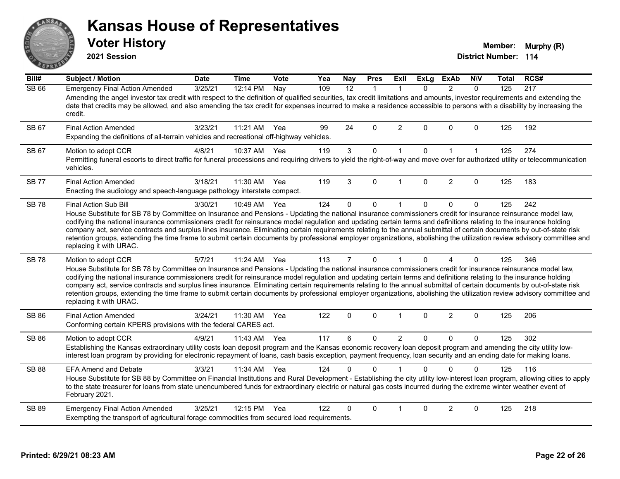# ANS **BAIL**

#### **Kansas House of Representatives**

**2021 Session**

**Voter History Multiple 10 and 10 and 10 and 10 and 10 and 10 and 10 and 10 and 10 and 10 and 10 and 10 and 10 and 10 and 10 and 10 and 10 and 10 and 10 and 10 and 10 and 10 and 10 and 10 and 10 and 10 and 10 and 10 and** 

| Bill#        | <b>Subject / Motion</b>                                                                                                                                                                                                                                                                                                                                                                                                                                                                                                                                                                                                                                                                                                                               | <b>Date</b> | <b>Time</b> | Vote | Yea | <b>Nay</b>     | <b>Pres</b>  | <b>ExII</b>    | <b>ExLg</b>  | <b>ExAb</b>            | <b>NIV</b>   | Total | RCS# |
|--------------|-------------------------------------------------------------------------------------------------------------------------------------------------------------------------------------------------------------------------------------------------------------------------------------------------------------------------------------------------------------------------------------------------------------------------------------------------------------------------------------------------------------------------------------------------------------------------------------------------------------------------------------------------------------------------------------------------------------------------------------------------------|-------------|-------------|------|-----|----------------|--------------|----------------|--------------|------------------------|--------------|-------|------|
| <b>SB 66</b> | <b>Emergency Final Action Amended</b><br>Amending the angel investor tax credit with respect to the definition of qualified securities, tax credit limitations and amounts, investor requirements and extending the<br>date that credits may be allowed, and also amending the tax credit for expenses incurred to make a residence accessible to persons with a disability by increasing the<br>credit.                                                                                                                                                                                                                                                                                                                                              | 3/25/21     | 12:14 PM    | Nay  | 109 | 12             | $\mathbf{1}$ | $\mathbf{1}$   | $\mathbf{0}$ | $\overline{2}$         | $\Omega$     | 125   | 217  |
| SB 67        | <b>Final Action Amended</b><br>Expanding the definitions of all-terrain vehicles and recreational off-highway vehicles.                                                                                                                                                                                                                                                                                                                                                                                                                                                                                                                                                                                                                               | 3/23/21     | 11:21 AM    | Yea  | 99  | 24             | $\Omega$     | 2              | $\Omega$     | $\Omega$               | $\Omega$     | 125   | 192  |
| SB 67        | Motion to adopt CCR<br>Permitting funeral escorts to direct traffic for funeral processions and requiring drivers to yield the right-of-way and move over for authorized utility or telecommunication<br>vehicles.                                                                                                                                                                                                                                                                                                                                                                                                                                                                                                                                    | 4/8/21      | 10:37 AM    | Yea  | 119 | $\mathbf{3}$   | 0            | $\mathbf{1}$   | $\mathbf 0$  | $\mathbf 1$            | $\mathbf{1}$ | 125   | 274  |
| <b>SB77</b>  | <b>Final Action Amended</b><br>Enacting the audiology and speech-language pathology interstate compact.                                                                                                                                                                                                                                                                                                                                                                                                                                                                                                                                                                                                                                               | 3/18/21     | 11:30 AM    | Yea  | 119 | 3              | $\Omega$     | 1              | $\Omega$     | $\overline{2}$         | $\mathbf{0}$ | 125   | 183  |
| <b>SB78</b>  | <b>Final Action Sub Bill</b><br>House Substitute for SB 78 by Committee on Insurance and Pensions - Updating the national insurance commissioners credit for insurance reinsurance model law,<br>codifying the national insurance commissioners credit for reinsurance model regulation and updating certain terms and definitions relating to the insurance holding<br>company act, service contracts and surplus lines insurance. Eliminating certain requirements relating to the annual submittal of certain documents by out-of-state risk<br>retention groups, extending the time frame to submit certain documents by professional employer organizations, abolishing the utilization review advisory committee and<br>replacing it with URAC. | 3/30/21     | 10:49 AM    | Yea  | 124 | $\mathbf{0}$   | $\Omega$     | $\mathbf{1}$   | $\Omega$     | $\mathbf{0}$           | $\Omega$     | 125   | 242  |
| <b>SB78</b>  | Motion to adopt CCR<br>House Substitute for SB 78 by Committee on Insurance and Pensions - Updating the national insurance commissioners credit for insurance reinsurance model law,<br>codifying the national insurance commissioners credit for reinsurance model regulation and updating certain terms and definitions relating to the insurance holding<br>company act, service contracts and surplus lines insurance. Eliminating certain requirements relating to the annual submittal of certain documents by out-of-state risk<br>retention groups, extending the time frame to submit certain documents by professional employer organizations, abolishing the utilization review advisory committee and<br>replacing it with URAC.          | 5/7/21      | 11:24 AM    | Yea  | 113 | $\overline{7}$ | $\Omega$     | 1              | $\Omega$     | $\boldsymbol{\Lambda}$ | $\Omega$     | 125   | 346  |
| <b>SB 86</b> | <b>Final Action Amended</b><br>Conforming certain KPERS provisions with the federal CARES act.                                                                                                                                                                                                                                                                                                                                                                                                                                                                                                                                                                                                                                                        | 3/24/21     | 11:30 AM    | Yea  | 122 | $\mathbf 0$    | $\Omega$     | $\mathbf{1}$   | $\mathbf{0}$ | $\overline{2}$         | 0            | 125   | 206  |
| <b>SB 86</b> | Motion to adopt CCR<br>Establishing the Kansas extraordinary utility costs loan deposit program and the Kansas economic recovery loan deposit program and amending the city utility low-<br>interest loan program by providing for electronic repayment of loans, cash basis exception, payment frequency, loan security and an ending date for making loans.                                                                                                                                                                                                                                                                                                                                                                                         | 4/9/21      | 11:43 AM    | Yea  | 117 | 6              | $\Omega$     | $\overline{2}$ | $\Omega$     | $\mathbf{0}$           | $\Omega$     | 125   | 302  |
| <b>SB 88</b> | <b>EFA Amend and Debate</b><br>House Substitute for SB 88 by Committee on Financial Institutions and Rural Development - Establishing the city utility low-interest loan program, allowing cities to apply<br>to the state treasurer for loans from state unencumbered funds for extraordinary electric or natural gas costs incurred during the extreme winter weather event of<br>February 2021.                                                                                                                                                                                                                                                                                                                                                    | 3/3/21      | 11:34 AM    | Yea  | 124 | 0              | $\Omega$     |                | $\Omega$     | $\Omega$               | $\Omega$     | 125   | 116  |
| SB 89        | <b>Emergency Final Action Amended</b><br>Exempting the transport of agricultural forage commodities from secured load requirements.                                                                                                                                                                                                                                                                                                                                                                                                                                                                                                                                                                                                                   | 3/25/21     | 12:15 PM    | Yea  | 122 | 0              | $\Omega$     | 1              | $\Omega$     | 2                      | $\Omega$     | 125   | 218  |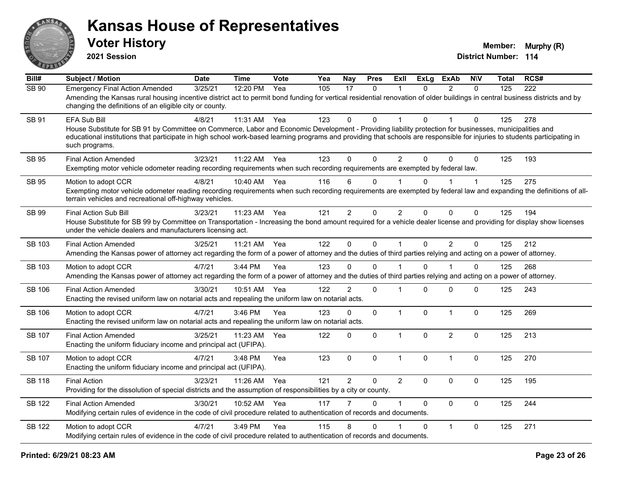

| Bill#         | <b>Subject / Motion</b>                                                                                                                                                                                                                                                                                                                                                        | <b>Date</b> | <b>Time</b> | Vote | Yea | Nay            | <b>Pres</b>  | ExII           | <b>ExLg</b>  | <b>ExAb</b>             | <b>NIV</b>   | Total | RCS# |
|---------------|--------------------------------------------------------------------------------------------------------------------------------------------------------------------------------------------------------------------------------------------------------------------------------------------------------------------------------------------------------------------------------|-------------|-------------|------|-----|----------------|--------------|----------------|--------------|-------------------------|--------------|-------|------|
| <b>SB 90</b>  | <b>Emergency Final Action Amended</b><br>Amending the Kansas rural housing incentive district act to permit bond funding for vertical residential renovation of older buildings in central business districts and by<br>changing the definitions of an eligible city or county.                                                                                                | 3/25/21     | 12:20 PM    | Yea  | 105 | 17             | $\mathbf{0}$ |                | $\Omega$     | $\mathcal{P}$           | $\Omega$     | 125   | 222  |
| <b>SB 91</b>  | <b>EFA Sub Bill</b><br>House Substitute for SB 91 by Committee on Commerce, Labor and Economic Development - Providing liability protection for businesses, municipalities and<br>educational institutions that participate in high school work-based learning programs and providing that schools are responsible for injuries to students participating in<br>such programs. | 4/8/21      | 11:31 AM    | Yea  | 123 | $\mathbf{0}$   | $\mathbf 0$  |                | $\mathbf 0$  |                         | $\Omega$     | 125   | 278  |
| <b>SB 95</b>  | <b>Final Action Amended</b><br>Exempting motor vehicle odometer reading recording requirements when such recording requirements are exempted by federal law.                                                                                                                                                                                                                   | 3/23/21     | 11:22 AM    | Yea  | 123 | $\mathbf{0}$   | $\mathbf 0$  | $\overline{2}$ | $\mathbf{0}$ | $\mathbf 0$             | $\mathbf 0$  | 125   | 193  |
| <b>SB 95</b>  | Motion to adopt CCR<br>Exempting motor vehicle odometer reading recording requirements when such recording requirements are exempted by federal law and expanding the definitions of all-<br>terrain vehicles and recreational off-highway vehicles.                                                                                                                           | 4/8/21      | 10:40 AM    | Yea  | 116 | 6              | 0            |                | $\mathbf 0$  |                         | 1            | 125   | 275  |
| SB 99         | <b>Final Action Sub Bill</b><br>House Substitute for SB 99 by Committee on Transportation - Increasing the bond amount required for a vehicle dealer license and providing for display show licenses<br>under the vehicle dealers and manufacturers licensing act.                                                                                                             | 3/23/21     | 11:23 AM    | Yea  | 121 | 2              | $\mathbf 0$  | $\overline{2}$ | $\mathbf 0$  | $\Omega$                | $\mathbf 0$  | 125   | 194  |
| SB 103        | <b>Final Action Amended</b><br>Amending the Kansas power of attorney act regarding the form of a power of attorney and the duties of third parties relying and acting on a power of attorney.                                                                                                                                                                                  | 3/25/21     | 11:21 AM    | Yea  | 122 | $\mathbf 0$    | $\mathbf 0$  |                | $\mathbf 0$  | $\overline{2}$          | $\mathbf{0}$ | 125   | 212  |
| SB 103        | Motion to adopt CCR<br>Amending the Kansas power of attorney act regarding the form of a power of attorney and the duties of third parties relying and acting on a power of attorney.                                                                                                                                                                                          | 4/7/21      | $3:44$ PM   | Yea  | 123 | 0              | $\Omega$     |                | 0            |                         | $\Omega$     | 125   | 268  |
| SB 106        | <b>Final Action Amended</b><br>Enacting the revised uniform law on notarial acts and repealing the uniform law on notarial acts.                                                                                                                                                                                                                                               | 3/30/21     | 10:51 AM    | Yea  | 122 | $\overline{2}$ | $\mathbf 0$  |                | $\mathbf{0}$ | $\mathbf 0$             | $\Omega$     | 125   | 243  |
| <b>SB 106</b> | Motion to adopt CCR<br>Enacting the revised uniform law on notarial acts and repealing the uniform law on notarial acts.                                                                                                                                                                                                                                                       | 4/7/21      | 3:46 PM     | Yea  | 123 | $\mathbf 0$    | $\mathbf 0$  | $\mathbf{1}$   | $\mathbf 0$  | $\mathbf{1}$            | $\mathbf 0$  | 125   | 269  |
| SB 107        | <b>Final Action Amended</b><br>Enacting the uniform fiduciary income and principal act (UFIPA).                                                                                                                                                                                                                                                                                | 3/25/21     | 11:23 AM    | Yea  | 122 | 0              | $\pmb{0}$    | $\mathbf{1}$   | 0            | $\overline{2}$          | $\mathbf 0$  | 125   | 213  |
| SB 107        | Motion to adopt CCR<br>Enacting the uniform fiduciary income and principal act (UFIPA).                                                                                                                                                                                                                                                                                        | 4/7/21      | 3:48 PM     | Yea  | 123 | $\mathbf 0$    | $\pmb{0}$    | $\overline{1}$ | $\mathbf 0$  | $\overline{1}$          | $\mathbf 0$  | 125   | 270  |
| <b>SB 118</b> | <b>Final Action</b><br>Providing for the dissolution of special districts and the assumption of responsibilities by a city or county.                                                                                                                                                                                                                                          | 3/23/21     | 11:26 AM    | Yea  | 121 | $\overline{c}$ | 0            | $\overline{2}$ | $\Omega$     | $\Omega$                | $\Omega$     | 125   | 195  |
| <b>SB 122</b> | <b>Final Action Amended</b><br>Modifying certain rules of evidence in the code of civil procedure related to authentication of records and documents.                                                                                                                                                                                                                          | 3/30/21     | 10:52 AM    | Yea  | 117 | $\overline{7}$ | $\Omega$     |                | $\Omega$     | $\Omega$                | $\mathbf{0}$ | 125   | 244  |
| <b>SB 122</b> | Motion to adopt CCR<br>Modifying certain rules of evidence in the code of civil procedure related to authentication of records and documents.                                                                                                                                                                                                                                  | 4/7/21      | 3:49 PM     | Yea  | 115 | 8              | $\mathbf{0}$ |                | $\Omega$     | $\overline{\mathbf{1}}$ | $\Omega$     | 125   | 271  |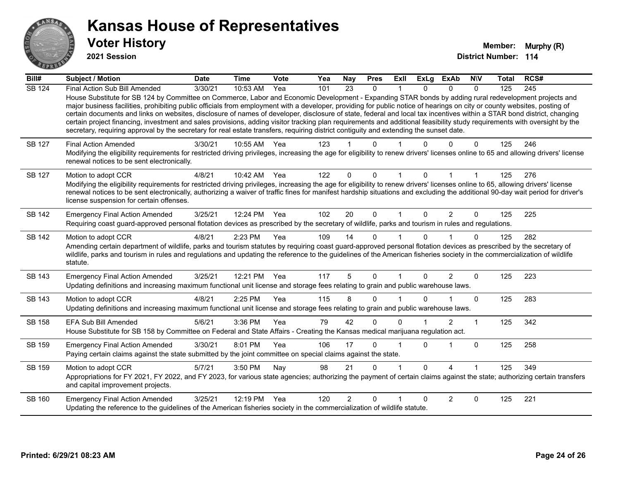

**2021 Session**

**Bill# Subject / Motion Date Time Vote Yea Nay Pres Exll ExLg ExAb N\V Total RCS#** SB 124 Final Action Sub Bill Amended 3/30/21 10:53 AM Yea 101 23 0 1 0 0 0 125 245 House Substitute for SB 124 by Committee on Commerce, Labor and Economic Development - Expanding STAR bonds by adding rural redevelopment projects and major business facilities, prohibiting public officials from employment with a developer, providing for public notice of hearings on city or county websites, posting of certain documents and links on websites, disclosure of names of developer, disclosure of state, federal and local tax incentives within a STAR bond district, changing certain project financing, investment and sales provisions, adding visitor tracking plan requirements and additional feasibility study requirements with oversight by the secretary, requiring approval by the secretary for real estate transfers, requiring district contiguity and extending the sunset date. SB 127 Final Action Amended 3/30/21 10:55 AM Yea 123 1 0 1 0 0 0 0 125 246 Modifying the eligibility requirements for restricted driving privileges, increasing the age for eligibility to renew drivers' licenses online to 65 and allowing drivers' license renewal notices to be sent electronically. SB 127 Motion to adopt CCR 4/8/21 10:42 AM Yea 122 0 0 1 0 1 1 125 276 Modifying the eligibility requirements for restricted driving privileges, increasing the age for eligibility to renew drivers' licenses online to 65, allowing drivers' license renewal notices to be sent electronically, authorizing a waiver of traffic fines for manifest hardship situations and excluding the additional 90-day wait period for driver's license suspension for certain offenses.

SB 142 Emergency Final Action Amended 3/25/21 12:24 PM Yea 102 20 0 1 0 2 0 125 225 Requiring coast guard-approved personal flotation devices as prescribed by the secretary of wildlife, parks and tourism in rules and regulations.

SB 142 Motion to adopt CCR 4/8/21 2:23 PM Yea 109 14 0 1 0 1 0 125 282 Amending certain department of wildlife, parks and tourism statutes by requiring coast guard-approved personal flotation devices as prescribed by the secretary of wildlife, parks and tourism in rules and regulations and updating the reference to the guidelines of the American fisheries society in the commercialization of wildlife statute.

SB 143 Emergency Final Action Amended 3/25/21 12:21 PM Yea 117 5 0 1 0 2 0 125 223 Updating definitions and increasing maximum functional unit license and storage fees relating to grain and public warehouse laws. SB 143 Motion to adopt CCR 4/8/21 2:25 PM Yea 115 8 0 1 0 1 0 125 283 Updating definitions and increasing maximum functional unit license and storage fees relating to grain and public warehouse laws.

SB 158 EFA Sub Bill Amended 5/6/21 3:36 PM Yea 79 42 0 0 1 2 1 125 342 House Substitute for SB 158 by Committee on Federal and State Affairs - Creating the Kansas medical marijuana regulation act. SB 159 Emergency Final Action Amended 3/30/21 8:01 PM Yea 106 17 0 1 0 1 0 125 258 Paying certain claims against the state submitted by the joint committee on special claims against the state. SB 159 Motion to adopt CCR 6/7/21 3:50 PM Nay 98 21 0 1 0 4 1 125 349 Appropriations for FY 2021, FY 2022, and FY 2023, for various state agencies; authorizing the payment of certain claims against the state; authorizing certain transfers and capital improvement projects. SB 160 Emergency Final Action Amended 3/25/21 12:19 PM Yea 120 2 0 1 0 2 0 125 221 Updating the reference to the guidelines of the American fisheries society in the commercialization of wildlife statute.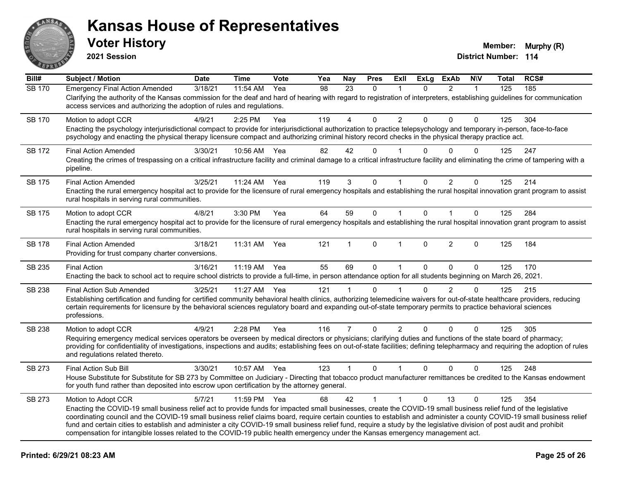

| Bill#         | <b>Subject / Motion</b>                                                                                                                                                                                                                                                                                                                                                                | <b>Date</b> | <b>Time</b>  | <b>Vote</b> | Yea | Nay            | <b>Pres</b>  | ExIl           | <b>ExLg</b> | <b>ExAb</b>    | <b>N\V</b>   | <b>Total</b> | RCS# |
|---------------|----------------------------------------------------------------------------------------------------------------------------------------------------------------------------------------------------------------------------------------------------------------------------------------------------------------------------------------------------------------------------------------|-------------|--------------|-------------|-----|----------------|--------------|----------------|-------------|----------------|--------------|--------------|------|
| <b>SB 170</b> | <b>Emergency Final Action Amended</b>                                                                                                                                                                                                                                                                                                                                                  | 3/18/21     | 11:54 AM     | Yea         | 98  | 23             | $\mathbf{0}$ | $\mathbf{1}$   | $\Omega$    | 2              | $\mathbf{1}$ | 125          | 185  |
|               | Clarifying the authority of the Kansas commission for the deaf and hard of hearing with regard to registration of interpreters, establishing guidelines for communication<br>access services and authorizing the adoption of rules and regulations.                                                                                                                                    |             |              |             |     |                |              |                |             |                |              |              |      |
| <b>SB 170</b> | Motion to adopt CCR                                                                                                                                                                                                                                                                                                                                                                    | 4/9/21      | 2:25 PM      | Yea         | 119 | $\overline{4}$ | $\Omega$     | $\overline{2}$ | $\Omega$    | $\Omega$       | $\Omega$     | 125          | 304  |
|               | Enacting the psychology interjurisdictional compact to provide for interjurisdictional authorization to practice telepsychology and temporary in-person, face-to-face<br>psychology and enacting the physical therapy licensure compact and authorizing criminal history record checks in the physical therapy practice act.                                                           |             |              |             |     |                |              |                |             |                |              |              |      |
| <b>SB 172</b> | <b>Final Action Amended</b>                                                                                                                                                                                                                                                                                                                                                            | 3/30/21     | 10:56 AM Yea |             | 82  | 42             | 0            |                | $\Omega$    | $\Omega$       | 0            | 125          | 247  |
|               | Creating the crimes of trespassing on a critical infrastructure facility and criminal damage to a critical infrastructure facility and eliminating the crime of tampering with a<br>pipeline.                                                                                                                                                                                          |             |              |             |     |                |              |                |             |                |              |              |      |
| SB 175        | <b>Final Action Amended</b>                                                                                                                                                                                                                                                                                                                                                            | 3/25/21     | 11:24 AM     | Yea         | 119 | 3              | $\mathbf{0}$ |                | $\Omega$    | 2              | $\Omega$     | 125          | 214  |
|               | Enacting the rural emergency hospital act to provide for the licensure of rural emergency hospitals and establishing the rural hospital innovation grant program to assist<br>rural hospitals in serving rural communities.                                                                                                                                                            |             |              |             |     |                |              |                |             |                |              |              |      |
| SB 175        | Motion to adopt CCR                                                                                                                                                                                                                                                                                                                                                                    | 4/8/21      | 3:30 PM      | Yea         | 64  | 59             | 0            |                | $\Omega$    |                | $\Omega$     | 125          | 284  |
|               | Enacting the rural emergency hospital act to provide for the licensure of rural emergency hospitals and establishing the rural hospital innovation grant program to assist<br>rural hospitals in serving rural communities.                                                                                                                                                            |             |              |             |     |                |              |                |             |                |              |              |      |
| <b>SB 178</b> | <b>Final Action Amended</b><br>Providing for trust company charter conversions.                                                                                                                                                                                                                                                                                                        | 3/18/21     | 11:31 AM     | Yea         | 121 | $\mathbf{1}$   | $\pmb{0}$    | $\mathbf{1}$   | 0           | $\overline{2}$ | $\mathbf 0$  | 125          | 184  |
| SB 235        | <b>Final Action</b>                                                                                                                                                                                                                                                                                                                                                                    | 3/16/21     | 11:19 AM     | Yea         | 55  | 69             | 0            |                | 0           | 0              | $\Omega$     | 125          | 170  |
|               | Enacting the back to school act to require school districts to provide a full-time, in person attendance option for all students beginning on March 26, 2021.                                                                                                                                                                                                                          |             |              |             |     |                |              |                |             |                |              |              |      |
| SB 238        | <b>Final Action Sub Amended</b>                                                                                                                                                                                                                                                                                                                                                        | 3/25/21     | 11:27 AM     | Yea         | 121 |                | $\Omega$     |                | $\Omega$    | 2              | $\Omega$     | 125          | 215  |
|               | Establishing certification and funding for certified community behavioral health clinics, authorizing telemedicine waivers for out-of-state healthcare providers, reducing<br>certain requirements for licensure by the behavioral sciences regulatory board and expanding out-of-state temporary permits to practice behavioral sciences<br>professions.                              |             |              |             |     |                |              |                |             |                |              |              |      |
| SB 238        | Motion to adopt CCR                                                                                                                                                                                                                                                                                                                                                                    | 4/9/21      | 2:28 PM      | Yea         | 116 | $\overline{7}$ | $\Omega$     | $\overline{2}$ | $\Omega$    | $\Omega$       | $\Omega$     | 125          | 305  |
|               | Requiring emergency medical services operators be overseen by medical directors or physicians; clarifying duties and functions of the state board of pharmacy;<br>providing for confidentiality of investigations, inspections and audits; establishing fees on out-of-state facilities; defining telepharmacy and requiring the adoption of rules<br>and regulations related thereto. |             |              |             |     |                |              |                |             |                |              |              |      |
| SB 273        | Final Action Sub Bill                                                                                                                                                                                                                                                                                                                                                                  | 3/30/21     | 10:57 AM Yea |             | 123 | $\mathbf{1}$   | $\Omega$     |                | $\Omega$    | $\Omega$       | $\Omega$     | 125          | 248  |
|               | House Substitute for Substitute for SB 273 by Committee on Judiciary - Directing that tobacco product manufacturer remittances be credited to the Kansas endowment<br>for youth fund rather than deposited into escrow upon certification by the attorney general.                                                                                                                     |             |              |             |     |                |              |                |             |                |              |              |      |
| SB 273        | Motion to Adopt CCR                                                                                                                                                                                                                                                                                                                                                                    | 5/7/21      | 11:59 PM     | Yea         | 68  | 42             |              |                | $\Omega$    | 13             | $\Omega$     | 125          | 354  |
|               | Enacting the COVID-19 small business relief act to provide funds for impacted small businesses, create the COVID-19 small business relief fund of the legislative                                                                                                                                                                                                                      |             |              |             |     |                |              |                |             |                |              |              |      |
|               | coordinating council and the COVID-19 small business relief claims board, require certain counties to establish and administer a county COVID-19 small business relief<br>fund and certain cities to establish and administer a city COVID-19 small business relief fund, require a study by the legislative division of post audit and prohibit                                       |             |              |             |     |                |              |                |             |                |              |              |      |
|               | compensation for intangible losses related to the COVID-19 public health emergency under the Kansas emergency management act.                                                                                                                                                                                                                                                          |             |              |             |     |                |              |                |             |                |              |              |      |